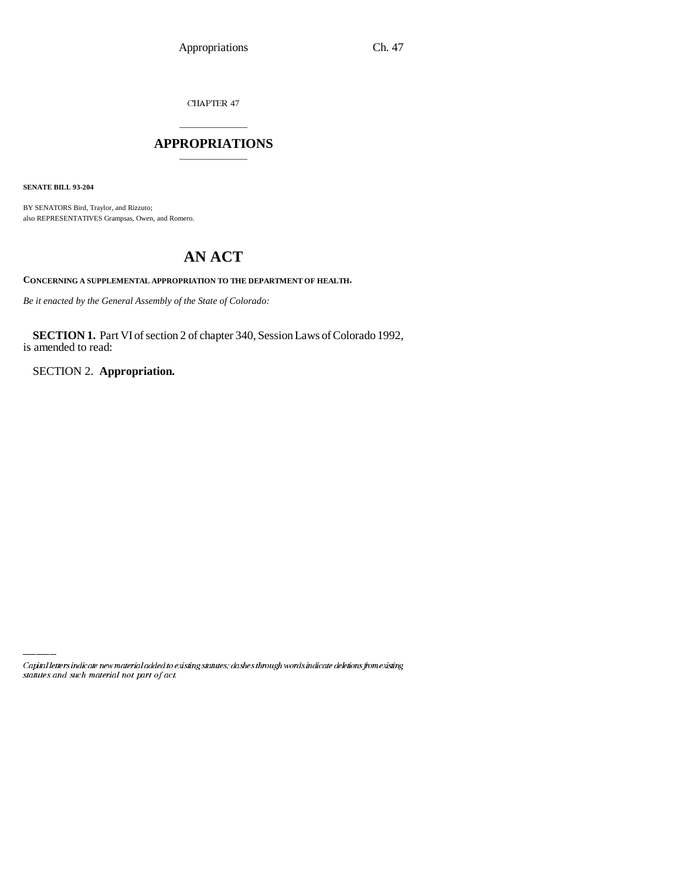CHAPTER 47

### \_\_\_\_\_\_\_\_\_\_\_\_\_\_\_ **APPROPRIATIONS** \_\_\_\_\_\_\_\_\_\_\_\_\_\_\_

**SENATE BILL 93-204**

BY SENATORS Bird, Traylor, and Rizzuto; also REPRESENTATIVES Grampsas, Owen, and Romero.

## **AN ACT**

**CONCERNING A SUPPLEMENTAL APPROPRIATION TO THE DEPARTMENT OF HEALTH.**

*Be it enacted by the General Assembly of the State of Colorado:*

**SECTION 1.** Part VI of section 2 of chapter 340, Session Laws of Colorado 1992, is amended to read:

SECTION 2. **Appropriation.**

Capital letters indicate new material added to existing statutes; dashes through words indicate deletions from existing statutes and such material not part of act.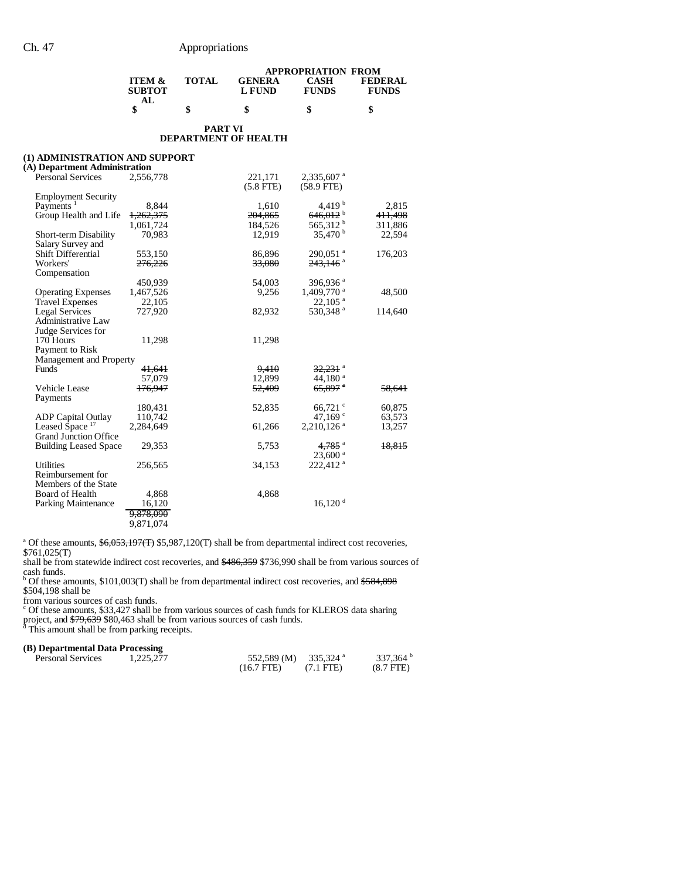|                                           |       |                         | <b>APPROPRIATION FROM</b> |                                |
|-------------------------------------------|-------|-------------------------|---------------------------|--------------------------------|
| <b>ITEM &amp;</b><br><b>SUBTOT</b><br>AL. | TOTAL | <b>GENERA</b><br>L FUND | CASH<br><b>FUNDS</b>      | <b>FEDERAL</b><br><b>FUNDS</b> |
| \$                                        |       | S                       | \$                        |                                |

#### **PART VI DEPARTMENT OF HEALTH**

| (1) ADMINISTRATION AND SUPPORT |                      |                |                          |         |
|--------------------------------|----------------------|----------------|--------------------------|---------|
| (A) Department Administration  |                      |                |                          |         |
| <b>Personal Services</b>       | 2,556,778            | 221,171        | 2,335,607 <sup>a</sup>   |         |
|                                |                      | $(5.8$ FTE $)$ | $(58.9$ FTE)             |         |
| <b>Employment Security</b>     |                      |                |                          |         |
| Payments <sup>1</sup>          | 8,844                | 1,610          | 4.419 $^{\rm b}$         | 2,815   |
| Group Health and Life          | 1,262,375            | 204,865        | $646,012$ <sup>b</sup>   | 411,498 |
|                                | 1,061,724            | 184.526        | 565,312 <sup>b</sup>     | 311,886 |
| Short-term Disability          | 70,983               | 12,919         | 35,470 <sup>b</sup>      | 22,594  |
| Salary Survey and              |                      |                |                          |         |
| Shift Differential             | 553,150              | 86,896         | $290,051$ <sup>a</sup>   | 176,203 |
| Workers'                       | 276,226              | 33,080         | $243,146$ <sup>a</sup>   |         |
| Compensation                   |                      |                |                          |         |
|                                | 450,939              | 54,003         | 396,936 <sup>a</sup>     |         |
| <b>Operating Expenses</b>      | 1,467,526            | 9,256          | $1,409,770$ <sup>a</sup> | 48,500  |
| <b>Travel Expenses</b>         | 22,105               |                | $22,105$ <sup>a</sup>    |         |
| <b>Legal Services</b>          | 727,920              | 82,932         | 530,348 <sup>a</sup>     | 114,640 |
| <b>Administrative Law</b>      |                      |                |                          |         |
| Judge Services for             |                      |                |                          |         |
| 170 Hours                      | 11,298               | 11,298         |                          |         |
| Payment to Risk                |                      |                |                          |         |
| Management and Property        |                      |                |                          |         |
| Funds                          | <del>41,641</del>    | 9,410          | $32,231$ <sup>a</sup>    |         |
|                                | 57,079               | 12,899         | 44,180 $^{\rm a}$        |         |
| <b>Vehicle Lease</b>           | 176.947              | 52,409         | $65,897$ $^{\circ}$      | 58,641  |
| Payments                       |                      |                |                          |         |
|                                | 180,431              | 52,835         | $66,721$ °               | 60,875  |
| <b>ADP</b> Capital Outlay      | 110,742              |                | 47,169 $\degree$         | 63,573  |
| Leased Space <sup>17</sup>     | 2,284,649            | 61,266         | $2,210,126$ <sup>a</sup> | 13,257  |
| <b>Grand Junction Office</b>   |                      |                |                          |         |
| <b>Building Leased Space</b>   | 29,353               | 5,753          | $4.785$ <sup>a</sup>     | 18,815  |
|                                |                      |                | $23,600$ <sup>a</sup>    |         |
| <b>Utilities</b>               | 256,565              | 34,153         | 222,412 <sup>a</sup>     |         |
| Reimbursement for              |                      |                |                          |         |
| Members of the State           |                      |                |                          |         |
| Board of Health                | 4,868                | 4,868          |                          |         |
| Parking Maintenance            | 16,120               |                | $16,120$ <sup>d</sup>    |         |
|                                |                      |                |                          |         |
|                                | <del>9,878,090</del> |                |                          |         |
|                                | 9,871,074            |                |                          |         |

<sup>a</sup> Of these amounts,  $\frac{6,053,197(T)}{5,987,120(T)}$  shall be from departmental indirect cost recoveries,

\$761,025(T)

shall be from statewide indirect cost recoveries, and  $$486,359$  \$736,990 shall be from various sources of

cash funds.<br><sup>b</sup> Of these amounts, \$101,003(T) shall be from departmental indirect cost recoveries, and <del>\$584,898</del> \$504,198 shall be

from various sources of cash funds.

<sup>c</sup> Of these amounts, \$33,427 shall be from various sources of cash funds for KLEROS data sharing

project, and <del>\$79,639</del> \$80,463 shall be from various sources of cash funds.<br><sup>d</sup> This amount shall be from parking receipts.

#### **(B) Departmental Data Processing**

| <b>Personal Services</b> | 1.225.277 | 552,589 (M) 335,324 $^{\circ}$ |                     | 337.364 $^{\rm b}$ |
|--------------------------|-----------|--------------------------------|---------------------|--------------------|
|                          |           | $(16.7$ FTE)                   | $(7.1 \text{ FTE})$ | $(8.7$ FTE)        |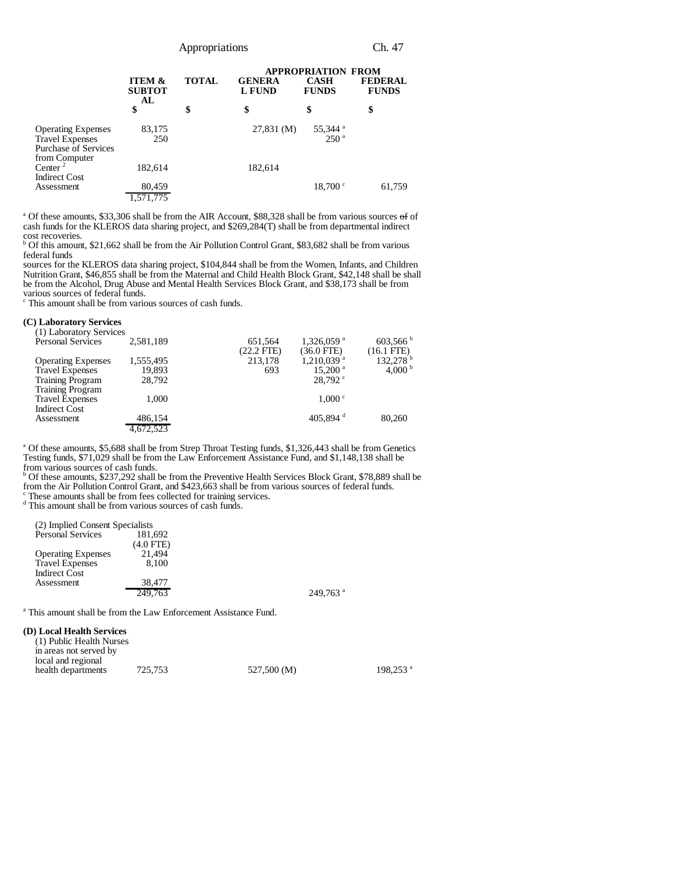|                                                                                                     |                                          |              |                                | <b>APPROPRIATION FROM</b>               |                                |
|-----------------------------------------------------------------------------------------------------|------------------------------------------|--------------|--------------------------------|-----------------------------------------|--------------------------------|
|                                                                                                     | <b>ITEM &amp;</b><br><b>SUBTOT</b><br>AL | <b>TOTAL</b> | <b>GENERA</b><br><b>L</b> FUND | <b>CASH</b><br><b>FUNDS</b>             | <b>FEDERAL</b><br><b>FUNDS</b> |
|                                                                                                     | \$                                       | \$           | \$                             | \$                                      | \$                             |
| <b>Operating Expenses</b><br><b>Travel Expenses</b><br><b>Purchase of Services</b><br>from Computer | 83,175<br>250                            |              | $27,831 \, (\mathrm{M})$       | 55,344 <sup>a</sup><br>250 <sup>a</sup> |                                |
| Center <sup>2</sup><br><b>Indirect Cost</b>                                                         | 182,614                                  |              | 182,614                        |                                         |                                |
| Assessment                                                                                          | 80,459<br>1,571,775                      |              |                                | $18,700 \text{°}$                       | 61,759                         |

<sup>a</sup> Of these amounts, \$33,306 shall be from the AIR Account, \$88,328 shall be from various sources  $\sigma$ f of cash funds for the KLEROS data sharing project, and \$269,284(T) shall be from departmental indirect

cost recoveries. b Of this amount, \$21,662 shall be from the Air Pollution Control Grant, \$83,682 shall be from various federal funds

sources for the KLEROS data sharing project, \$104,844 shall be from the Women, Infants, and Children Nutrition Grant, \$46,855 shall be from the Maternal and Child Health Block Grant, \$42,148 shall be shall be from the Alcohol, Drug Abuse and Mental Health Services Block Grant, and \$38,173 shall be from various sources of federal funds.

c This amount shall be from various sources of cash funds.

#### **(C) Laboratory Services**

| (1) Laboratory Services   |           |                                                               |
|---------------------------|-----------|---------------------------------------------------------------|
| <b>Personal Services</b>  | 2,581,189 | $603,566$ b<br>$1,326,059$ <sup>a</sup><br>651,564            |
|                           |           | $(22.2$ FTE)<br>$(36.0$ FTE)<br>$(16.1$ FTE)                  |
| <b>Operating Expenses</b> | 1,555,495 | $132,278^{\mathrm{b}}$<br>$1,210,039$ <sup>a</sup><br>213,178 |
| <b>Travel Expenses</b>    | 19,893    | 4.000 $^{\rm b}$<br>$15,200$ <sup>a</sup><br>693              |
| <b>Training Program</b>   | 28,792    | 28.792                                                        |
| <b>Training Program</b>   |           |                                                               |
| <b>Travel Expenses</b>    | 1.000     | 1.000 °                                                       |
| <b>Indirect Cost</b>      |           |                                                               |
| Assessment                | 486.154   | 405.894 $d$<br>80,260                                         |
|                           | 4.672.523 |                                                               |

<sup>a</sup> Of these amounts, \$5,688 shall be from Strep Throat Testing funds, \$1,326,443 shall be from Genetics Testing funds, \$71,029 shall be from the Law Enforcement Assistance Fund, and \$1,148,138 shall be

from various sources of cash funds. b Of these amounts, \$237,292 shall be from the Preventive Health Services Block Grant, \$78,889 shall be from the Air Pollution Control Grant, and \$423,663 shall be from various sources of federal funds. c These amounts shall be from fees collected for training services.

d This amount shall be from various sources of cash funds.

(2) Implied Consent Specialists Personal Services  $(4.0 \text{ FTE})$ <br>21,494 Operating Expenses 21,494<br>Travel Expenses 8,100 Travel Expenses Indirect Cost Assessment 38,477<br>249,763  $249.763$ <sup>a</sup>

<sup>a</sup> This amount shall be from the Law Enforcement Assistance Fund.

#### **(D) Local Health Services**

| (1) Public Health Nurses |         |             |                        |
|--------------------------|---------|-------------|------------------------|
| in areas not served by   |         |             |                        |
| local and regional       |         |             |                        |
| health departments       | 725.753 | 527,500 (M) | $198.253$ <sup>a</sup> |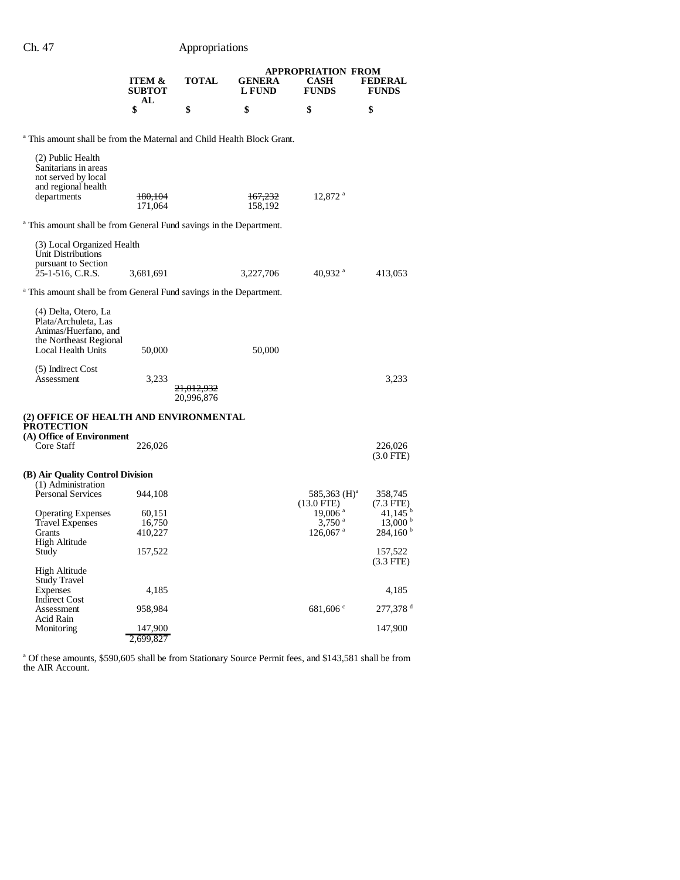|                                           |              |                         | <b>APPROPRIATION FROM</b> |                                |
|-------------------------------------------|--------------|-------------------------|---------------------------|--------------------------------|
| <b>ITEM &amp;</b><br><b>SUBTOT</b><br>AL. | <b>TOTAL</b> | <b>GENERA</b><br>L FUND | CASH<br><b>FUNDS</b>      | <b>FEDERAL</b><br><b>FUNDS</b> |
|                                           |              | S                       |                           |                                |

<sup>a</sup> This amount shall be from the Maternal and Child Health Block Grant.

| (2) Public Health<br>Sanitarians in areas<br>not served by local<br>and regional health<br>departments               | 180,104<br>171,064          | <del>167,232</del><br>158,192                                                  | 12,872 <sup>a</sup>                                                     |                                                                         |
|----------------------------------------------------------------------------------------------------------------------|-----------------------------|--------------------------------------------------------------------------------|-------------------------------------------------------------------------|-------------------------------------------------------------------------|
|                                                                                                                      |                             | <sup>a</sup> This amount shall be from General Fund savings in the Department. |                                                                         |                                                                         |
| (3) Local Organized Health<br>Unit Distributions<br>pursuant to Section<br>25-1-516, C.R.S.                          | 3,681,691                   | 3,227,706                                                                      | 40,932 $^{\rm a}$                                                       | 413,053                                                                 |
|                                                                                                                      |                             | <sup>a</sup> This amount shall be from General Fund savings in the Department. |                                                                         |                                                                         |
| (4) Delta, Otero, La<br>Plata/Archuleta, Las<br>Animas/Huerfano, and<br>the Northeast Regional<br>Local Health Units | 50,000                      | 50,000                                                                         |                                                                         |                                                                         |
| (5) Indirect Cost<br>Assessment                                                                                      | 3,233                       | <del>21,012,932</del><br>20,996,876                                            |                                                                         | 3,233                                                                   |
| (2) OFFICE OF HEALTH AND ENVIRONMENTAL<br><b>PROTECTION</b>                                                          |                             |                                                                                |                                                                         |                                                                         |
| (A) Office of Environment<br>Core Staff                                                                              | 226,026                     |                                                                                |                                                                         | 226,026<br>$(3.0$ FTE)                                                  |
| (B) Air Quality Control Division                                                                                     |                             |                                                                                |                                                                         |                                                                         |
| (1) Administration<br><b>Personal Services</b>                                                                       | 944,108                     |                                                                                | $585,363 \ (H)^4$<br>$(13.0$ FTE)                                       | 358,745<br>$(7.3$ FTE $)$                                               |
| <b>Operating Expenses</b><br><b>Travel Expenses</b><br>Grants                                                        | 60,151<br>16,750<br>410,227 |                                                                                | $19,006$ <sup>a</sup><br>$3,750$ <sup>a</sup><br>$126,067$ <sup>a</sup> | $41,145$ <sup>b</sup><br>$13,000^{\mathrm{b}}$<br>$284,160^{\text{ b}}$ |
| <b>High Altitude</b><br>Study                                                                                        | 157,522                     |                                                                                |                                                                         | 157,522                                                                 |
| High Altitude<br>Study Travel                                                                                        |                             |                                                                                |                                                                         | $(3.3$ FTE)                                                             |
| Expenses                                                                                                             | 4,185                       |                                                                                |                                                                         | 4,185                                                                   |
| <b>Indirect Cost</b><br>Assessment                                                                                   | 958,984                     |                                                                                | 681,606                                                                 | $277,378$ <sup>d</sup>                                                  |
| Acid Rain<br>Monitoring                                                                                              | 147,900<br>2,699,827        |                                                                                |                                                                         | 147,900                                                                 |

<sup>a</sup> Of these amounts, \$590,605 shall be from Stationary Source Permit fees, and \$143,581 shall be from the AIR Account.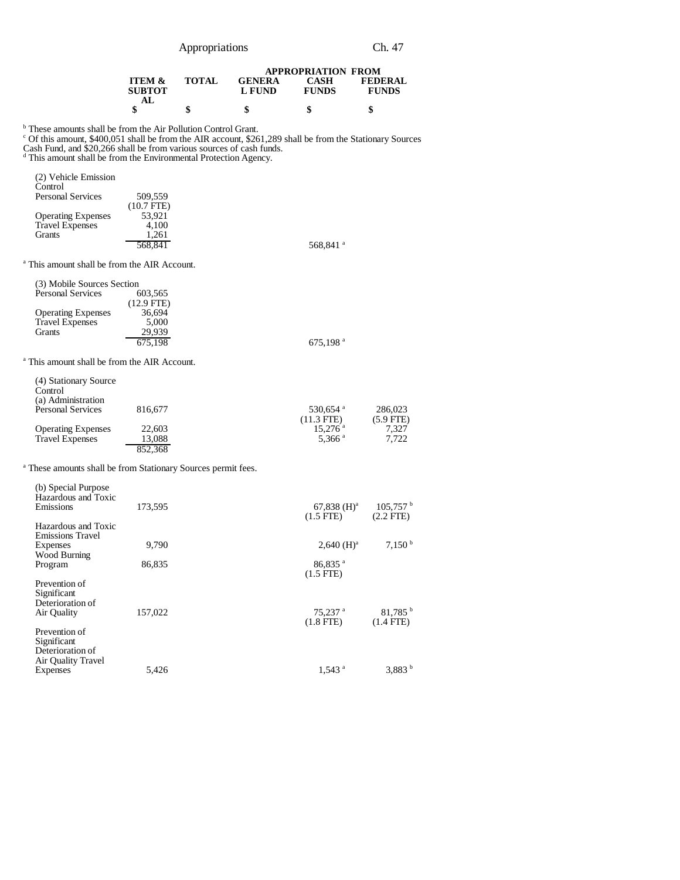| Appropriations |
|----------------|
|----------------|

Ch. 47

|                   |              |               | <b>APPROPRIATION FROM</b> |                |
|-------------------|--------------|---------------|---------------------------|----------------|
| <b>ITEM &amp;</b> | <b>TOTAL</b> | <b>GENERA</b> | CASH                      | <b>FEDERAL</b> |
| <b>SUBTOT</b>     |              | L FUND        | <b>FUNDS</b>              | <b>FUNDS</b>   |
|                   |              |               |                           |                |
|                   | \$           | \$            | S                         | S              |

<sup>b</sup> These amounts shall be from the Air Pollution Control Grant.<br><sup>c</sup> Of this amount, \$400,051 shall be from the AIR account, \$261,289 shall be from the Stationary Sources

Cash Fund, and \$20,266 shall be from various sources of cash funds. d This amount shall be from the Environmental Protection Agency.

| (2) Vehicle Emission<br>Control                         |              |                      |
|---------------------------------------------------------|--------------|----------------------|
| <b>Personal Services</b>                                | 509,559      |                      |
|                                                         | $(10.7$ FTE) |                      |
| <b>Operating Expenses</b>                               | 53.921       |                      |
| <b>Travel Expenses</b>                                  | 4.100        |                      |
| <b>Grants</b>                                           | 1,261        |                      |
|                                                         | 568.841      | 568,841 <sup>a</sup> |
| <sup>a</sup> This amount shall be from the AIR Account. |              |                      |

| (3) Mobile Sources Section |              |                |
|----------------------------|--------------|----------------|
| <b>Personal Services</b>   | 603.565      |                |
|                            | $(12.9$ FTE) |                |
| <b>Operating Expenses</b>  | 36.694       |                |
| <b>Travel Expenses</b>     | 5,000        |                |
| Grants                     | 29.939       |                |
|                            | 675.198      | 675,198 $^{a}$ |

a This amount shall be from the AIR Account.

| (4) Stationary Source     |         |                       |             |
|---------------------------|---------|-----------------------|-------------|
| Control                   |         |                       |             |
| (a) Administration        |         |                       |             |
| <b>Personal Services</b>  | 816,677 | 530,654 <sup>a</sup>  | 286,023     |
|                           |         | $(11.3$ FTE)          | $(5.9$ FTE) |
| <b>Operating Expenses</b> | 22,603  | $15.276$ <sup>a</sup> | 7.327       |
| <b>Travel Expenses</b>    | 13.088  | 5.366 <sup>a</sup>    | 7.722       |
|                           | 852,368 |                       |             |

<sup>a</sup> These amounts shall be from Stationary Sources permit fees.

| (b) Special Purpose<br>Hazardous and Toxic<br>Emissions                | 173.595 | $67,838 \ (H)^a$<br>$(1.5$ FTE)      | 105.757 <sup>b</sup><br>$(2.2$ FTE $)$ |
|------------------------------------------------------------------------|---------|--------------------------------------|----------------------------------------|
| Hazardous and Toxic<br><b>Emissions Travel</b>                         |         |                                      |                                        |
| Expenses<br>Wood Burning                                               | 9.790   | $2,640 \ (H)^a$                      | 7,150 <sup>b</sup>                     |
| Program                                                                | 86,835  | $86,835$ <sup>a</sup><br>$(1.5$ FTE) |                                        |
| Prevention of<br>Significant<br>Deterioration of<br>Air Quality        | 157,022 | $75,237$ <sup>a</sup>                | $81,785$ <sup>b</sup>                  |
| Prevention of<br>Significant<br>Deterioration of<br>Air Quality Travel |         | $(1.8$ FTE $)$                       | $(1.4$ FTE)                            |
| Expenses                                                               | 5,426   | $1,543$ <sup>a</sup>                 | $3,883^{b}$                            |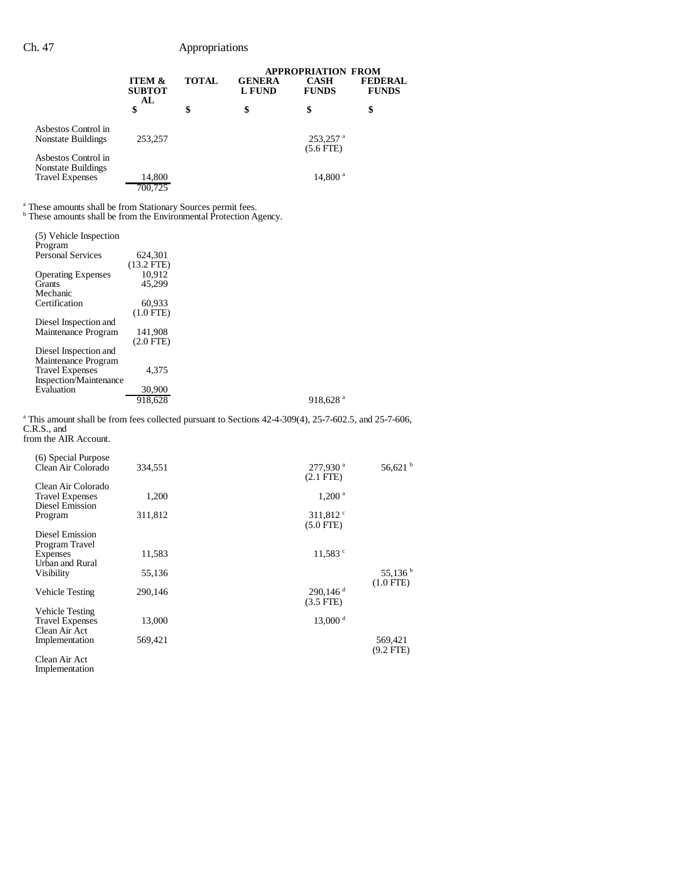|                                                                     |                                                |              | <b>APPROPRIATION FROM</b>      |                                     |                                |
|---------------------------------------------------------------------|------------------------------------------------|--------------|--------------------------------|-------------------------------------|--------------------------------|
|                                                                     | <b>ITEM &amp;</b><br><b>SUBTOT</b><br>AL<br>\$ | <b>TOTAL</b> | <b>GENERA</b><br><b>L FUND</b> | <b>CASH</b><br><b>FUNDS</b><br>\$   | <b>FEDERAL</b><br><b>FUNDS</b> |
|                                                                     |                                                | \$           | \$                             |                                     | \$                             |
| Aspestos Control in<br>Nonstate Buildings                           | 253,257                                        |              |                                | 253,257 <sup>a</sup><br>$(5.6$ FTE) |                                |
| Aspestos Control in<br>Nonstate Buildings<br><b>Travel Expenses</b> | 14,800<br>700.725                              |              |                                | $14,800^{\text{ a}}$                |                                |

<sup>a</sup> These amounts shall be from Stationary Sources permit fees.<br><sup>b</sup> These amounts shall be from the Environmental Protection Agency.

| (5) Vehicle Inspection    |              |                        |
|---------------------------|--------------|------------------------|
| Program                   |              |                        |
| <b>Personal Services</b>  | 624.301      |                        |
|                           | $(13.2$ FTE) |                        |
| <b>Operating Expenses</b> | 10.912       |                        |
| <b>Grants</b>             | 45.299       |                        |
| Mechanic                  |              |                        |
| Certification             | 60,933       |                        |
|                           | $(1.0$ FTE)  |                        |
| Diesel Inspection and     |              |                        |
| Maintenance Program       | 141,908      |                        |
|                           |              |                        |
|                           | $(2.0$ FTE)  |                        |
| Diesel Inspection and     |              |                        |
| Maintenance Program       |              |                        |
| <b>Travel Expenses</b>    | 4.375        |                        |
| Inspection/Maintenance    |              |                        |
| Evaluation                | 30,900       |                        |
|                           |              |                        |
|                           | 918,628      | $918,628$ <sup>a</sup> |

<sup>a</sup> This amount shall be from fees collected pursuant to Sections 42-4-309(4), 25-7-602.5, and 25-7-606, C.R.S., and from the AIR Account.

| (6) Special Purpose<br>Clean Air Colorado | 334,551 | 277,930 <sup>a</sup><br>$(2.1$ FTE $)$ | 56,621 $^{\rm b}$ |
|-------------------------------------------|---------|----------------------------------------|-------------------|
| Clean Air Colorado                        |         |                                        |                   |
| <b>Travel Expenses</b>                    | 1,200   | $1,200^{\text{ a}}$                    |                   |
| Diesel Emission                           |         |                                        |                   |
| Program                                   | 311,812 | 311,812 $\degree$<br>$(5.0$ FTE $)$    |                   |
| Diesel Emission<br>Program Travel         |         |                                        |                   |
| Expenses                                  | 11,583  | $11,583$ $\degree$                     |                   |
| Urban and Rural                           |         |                                        |                   |
| Visibility                                | 55,136  |                                        | 55,136 $^{\rm b}$ |
|                                           |         |                                        | $(1.0$ FTE $)$    |
| <b>Vehicle Testing</b>                    | 290,146 | $290,146$ <sup>d</sup>                 |                   |
|                                           |         | $(3.5$ FTE $)$                         |                   |
| <b>Vehicle Testing</b>                    |         |                                        |                   |
| <b>Travel Expenses</b><br>Clean Air Act   | 13,000  | $13,000$ <sup>d</sup>                  |                   |
| Implementation                            | 569,421 |                                        | 569,421           |
|                                           |         |                                        | $(9.2$ FTE)       |
| Clean Air Act                             |         |                                        |                   |
| Implementation                            |         |                                        |                   |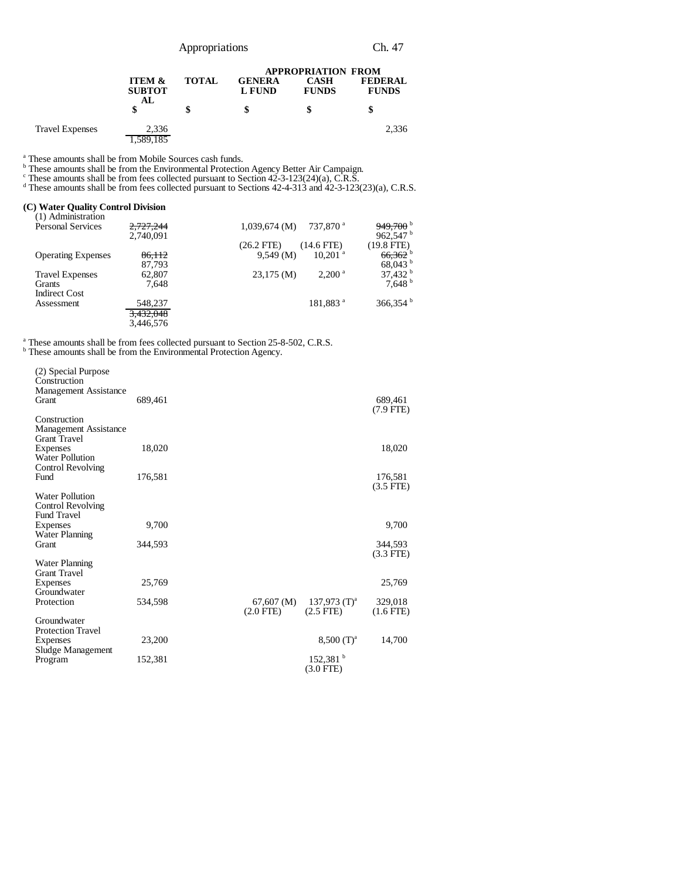| Appropriations | Ch. 47 |
|----------------|--------|
|----------------|--------|

|                        |                                          |              |                         | <b>APPROPRIATION FROM</b>   |                                |
|------------------------|------------------------------------------|--------------|-------------------------|-----------------------------|--------------------------------|
|                        | <b>ITEM &amp;</b><br><b>SUBTOT</b><br>AL | <b>TOTAL</b> | <b>GENERA</b><br>L FUND | <b>CASH</b><br><b>FUNDS</b> | <b>FEDERAL</b><br><b>FUNDS</b> |
|                        |                                          | \$           | \$                      |                             |                                |
| <b>Travel Expenses</b> | 2.336                                    |              |                         |                             | 2,336                          |
|                        | .589,185                                 |              |                         |                             |                                |

<sup>a</sup> These amounts shall be from Mobile Sources cash funds.<br>
<sup>b</sup> These amounts shall be from the Environmental Protection Agency Better Air Campaign.<br>
<sup>c</sup> These amounts shall be from fees collected pursuant to Section 42-3

#### **(C) Water Quality Control Division**

| 2,727,244 | $949,700$ <sup>b</sup><br>737,870 <sup>a</sup><br>$1,039,674 \; (M)$  |
|-----------|-----------------------------------------------------------------------|
| 2,740,091 | 962,547 $^{\rm b}$                                                    |
|           | $(14.6$ FTE)<br>$(19.8$ FTE)<br>$(26.2$ FTE)                          |
| 86.112    | $66,362$ <sup>b</sup><br>$10.201$ <sup>a</sup><br>9.549(M)            |
| 87.793    | $68,043$ b                                                            |
| 62,807    | $37,432$ <sup>b</sup><br>$23,175 \, (\text{M})$<br>2.200 <sup>a</sup> |
| 7.648     | 7.648 <sup>b</sup>                                                    |
|           |                                                                       |
| 548,237   | $366,354^{\mathrm{b}}$<br>181,883 <sup>a</sup>                        |
| 3,432,048 |                                                                       |
| 3.446.576 |                                                                       |
|           |                                                                       |

<sup>a</sup> These amounts shall be from fees collected pursuant to Section 25-8-502, C.R.S. b These amounts shall be from the Environmental Protection Agency.

| (2) Special Purpose<br>Construction<br>Management Assistance<br><b>Grant</b> | 689,461 |                              |                                       | 689,461<br>$(7.9$ FTE) |
|------------------------------------------------------------------------------|---------|------------------------------|---------------------------------------|------------------------|
| Construction<br><b>Management Assistance</b><br><b>Grant Travel</b>          |         |                              |                                       |                        |
| Expenses<br><b>Water Pollution</b><br>Control Revolving                      | 18,020  |                              |                                       | 18,020                 |
| Fund                                                                         | 176,581 |                              |                                       | 176,581<br>$(3.5$ FTE) |
| Water Pollution<br>Control Revolving<br><b>Fund Travel</b>                   |         |                              |                                       |                        |
| Expenses<br><b>Water Planning</b>                                            | 9,700   |                              |                                       | 9,700                  |
| Grant                                                                        | 344.593 |                              |                                       | 344,593<br>$(3.3$ FTE) |
| <b>Water Planning</b><br><b>Grant Travel</b>                                 |         |                              |                                       |                        |
| Expenses<br>Groundwater                                                      | 25,769  |                              |                                       | 25,769                 |
| Protection                                                                   | 534,598 | 67,607 (M)<br>$(2.0$ FTE $)$ | 137,973 $(T)^a$<br>$(2.5$ FTE $)$     | 329,018<br>$(1.6$ FTE) |
| Groundwater<br><b>Protection Travel</b>                                      |         |                              |                                       |                        |
| Expenses<br>Sludge Management                                                | 23,200  |                              | $8,500$ (T) <sup>a</sup>              | 14,700                 |
| Program                                                                      | 152,381 |                              | $152,381$ <sup>b</sup><br>$(3.0$ FTE) |                        |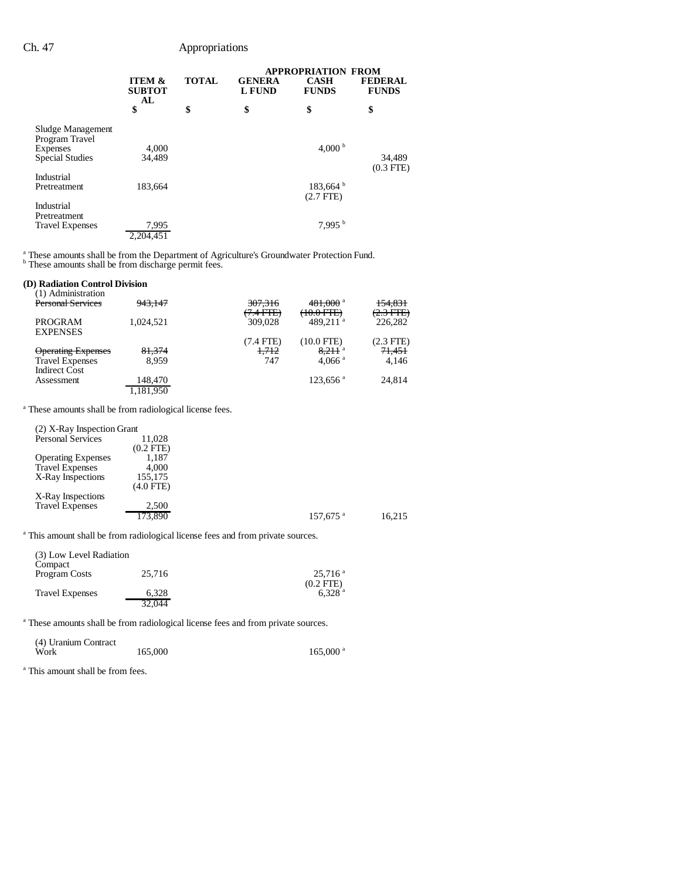|                                     |                                          |              |                                | <b>APPROPRIATION FROM</b>   |                                |
|-------------------------------------|------------------------------------------|--------------|--------------------------------|-----------------------------|--------------------------------|
|                                     | <b>ITEM &amp;</b><br><b>SUBTOT</b><br>AL | <b>TOTAL</b> | <b>GENERA</b><br><b>L</b> FUND | <b>CASH</b><br><b>FUNDS</b> | <b>FEDERAL</b><br><b>FUNDS</b> |
|                                     | \$                                       | \$           | \$                             | \$                          | \$                             |
| Sludge Management<br>Program Travel |                                          |              |                                |                             |                                |
| Expenses                            | 4.000                                    |              |                                | 4.000 $^{\rm b}$            |                                |
| <b>Special Studies</b>              | 34,489                                   |              |                                |                             | 34,489                         |
| Industrial                          |                                          |              |                                |                             | $(0.3$ FTE)                    |
| Pretreatment                        | 183,664                                  |              |                                | 183,664 <sup>b</sup>        |                                |
| Industrial                          |                                          |              |                                | $(2.7$ FTE)                 |                                |
| Pretreatment                        |                                          |              |                                |                             |                                |
| <b>Travel Expenses</b>              | 7,995                                    |              |                                | 7,995 <sup>b</sup>          |                                |
|                                     | 2.204.451                                |              |                                |                             |                                |

<sup>a</sup> These amounts shall be from the Department of Agriculture's Groundwater Protection Fund.<br><sup>b</sup> These amounts shall be from discharge permit fees.

# **(D) Radiation Control Division**

| 943.147 | 307,316                          | 481,000 <sup>a</sup>                | 154.831                                                                        |
|---------|----------------------------------|-------------------------------------|--------------------------------------------------------------------------------|
|         |                                  |                                     | $(2.3 \text{ FFE})$                                                            |
|         |                                  |                                     | 226,282                                                                        |
|         |                                  |                                     |                                                                                |
|         |                                  |                                     | $(2.3$ FTE)                                                                    |
|         |                                  |                                     |                                                                                |
| 81,374  | 1.712                            | $8.211$ <sup>a</sup>                | 71,451                                                                         |
| 8.959   | 747                              | $4.066$ <sup>a</sup>                | 4.146                                                                          |
|         |                                  |                                     |                                                                                |
|         |                                  |                                     | 24.814                                                                         |
|         |                                  |                                     |                                                                                |
|         |                                  |                                     |                                                                                |
|         | 1.024.521<br>148,470<br>.181.950 | (7.4 FTE)<br>309,028<br>$(7.4$ FTE) | <del>(10.0 FTE)</del><br>489.211 $a$<br>$(10.0$ FTE)<br>$123.656$ <sup>a</sup> |

a These amounts shall be from radiological license fees.

| (2) X-Ray Inspection Grant |                |                        |        |
|----------------------------|----------------|------------------------|--------|
| <b>Personal Services</b>   | 11.028         |                        |        |
|                            | $(0.2$ FTE $)$ |                        |        |
| <b>Operating Expenses</b>  | 1,187          |                        |        |
| <b>Travel Expenses</b>     | 4.000          |                        |        |
| X-Ray Inspections          | 155,175        |                        |        |
|                            | $(4.0$ FTE)    |                        |        |
| X-Ray Inspections          |                |                        |        |
| <b>Travel Expenses</b>     | 2,500          |                        |        |
|                            | 173,890        | $157,675$ <sup>a</sup> | 16.215 |

<sup>a</sup> This amount shall be from radiological license fees and from private sources.

| (3) Low Level Radiation<br>Compact |        |                                        |
|------------------------------------|--------|----------------------------------------|
| Program Costs                      | 25,716 | $25.716$ <sup>a</sup>                  |
| <b>Travel Expenses</b>             | 6.328  | $(0.2$ FTE $)$<br>$6.328$ <sup>a</sup> |
|                                    | 32.044 |                                        |

<sup>a</sup> These amounts shall be from radiological license fees and from private sources.

| (4) Uranium Contract |         |                        |
|----------------------|---------|------------------------|
| Work                 | 165,000 | $165,000$ <sup>a</sup> |

a This amount shall be from fees.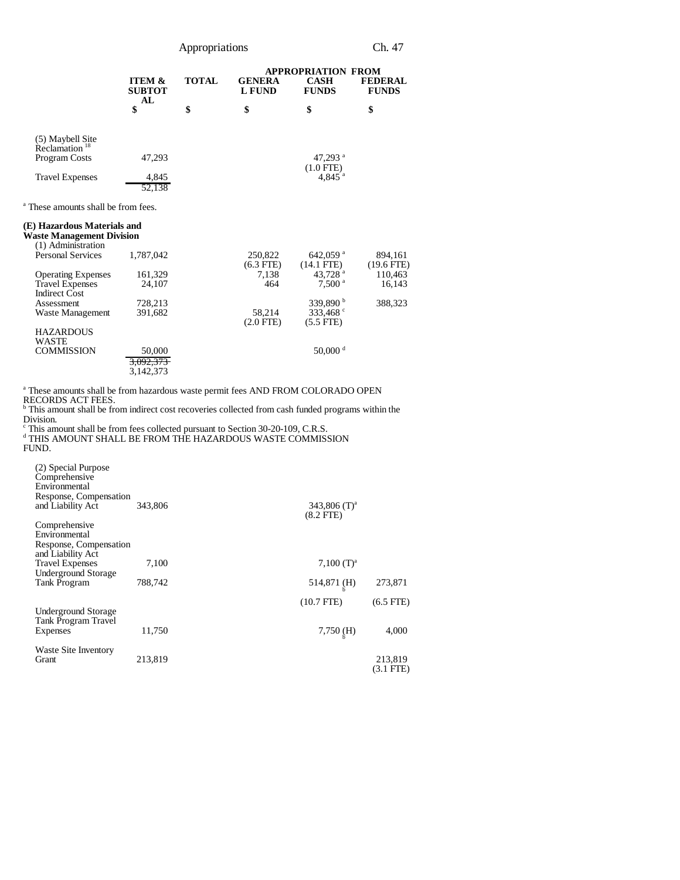Appropriations Ch. 47

|                                               |                                                |              |                                | <b>APPROPRIATION FROM</b>           |                                |
|-----------------------------------------------|------------------------------------------------|--------------|--------------------------------|-------------------------------------|--------------------------------|
|                                               | <b>ITEM &amp;</b><br><b>SUBTOT</b><br>AL<br>\$ | <b>TOTAL</b> | <b>GENERA</b><br><b>L</b> FUND | <b>CASH</b><br><b>FUNDS</b>         | <b>FEDERAL</b><br><b>FUNDS</b> |
|                                               |                                                | \$<br>\$     | \$                             | \$                                  |                                |
| (5) Maybell Site<br>Reclamation <sup>18</sup> |                                                |              |                                |                                     |                                |
| Program Costs                                 | 47,293                                         |              |                                | 47,293 $^{\rm a}$                   |                                |
| <b>Travel Expenses</b>                        | 4,845                                          |              |                                | $(1.0$ FTE)<br>$4,845$ <sup>a</sup> |                                |
|                                               | 52.138                                         |              |                                |                                     |                                |

a These amounts shall be from fees.

#### **(E) Hazardous Materials and**

**Waste Management Division**

| (1) Administration        |           |                |                        |              |
|---------------------------|-----------|----------------|------------------------|--------------|
| <b>Personal Services</b>  | 1.787.042 | 250,822        | $642.059$ <sup>a</sup> | 894.161      |
|                           |           | $(6.3$ FTE)    | (14.1 FTE)             | $(19.6$ FTE) |
| <b>Operating Expenses</b> | 161,329   | 7,138          | 43.728 <sup>a</sup>    | 110,463      |
| <b>Travel Expenses</b>    | 24.107    | 464            | 7.500 <sup>a</sup>     | 16,143       |
| <b>Indirect Cost</b>      |           |                |                        |              |
| Assessment                | 728,213   |                | 339,890 $^{\rm b}$     | 388,323      |
| Waste Management          | 391,682   | 58.214         | 333,468 $\degree$      |              |
|                           |           | $(2.0$ FTE $)$ | $(5.5$ FTE)            |              |
| <b>HAZARDOUS</b>          |           |                |                        |              |
| WASTE                     |           |                |                        |              |
| <b>COMMISSION</b>         | 50,000    |                | 50,000 $^{\rm d}$      |              |
|                           | 3,092,373 |                |                        |              |
|                           |           |                |                        |              |
|                           | 3.142.373 |                |                        |              |

<sup>a</sup> These amounts shall be from hazardous waste permit fees AND FROM COLORADO OPEN

RECORDS ACT FEES.<br><sup>b</sup> This amount shall be from indirect cost recoveries collected from cash funded programs within the Division.

c This amount shall be from fees collected pursuant to Section 30-20-109, C.R.S. d THIS AMOUNT SHALL BE FROM THE HAZARDOUS WASTE COMMISSION FUND.

| (2) Special Purpose<br>Comprehensive<br>Environmental<br>Response, Compensation<br>and Liability Act | 343,806 | 343,806 $(T)^a$<br>$(8.2$ FTE $)$ |                      |
|------------------------------------------------------------------------------------------------------|---------|-----------------------------------|----------------------|
| Comprehensive<br>Environmental<br>Response, Compensation                                             |         |                                   |                      |
| and Liability Act                                                                                    |         |                                   |                      |
| <b>Travel Expenses</b><br><b>Underground Storage</b>                                                 | 7,100   | 7,100 $(T)^a$                     |                      |
| <b>Tank Program</b>                                                                                  | 788,742 | 514,871 (H)                       | 273,871              |
|                                                                                                      |         | $(10.7$ FTE)                      | $(6.5$ FTE $)$       |
| Underground Storage<br><b>Tank Program Travel</b><br>Expenses                                        | 11,750  | $7,750$ (H)                       | 4,000                |
| Waste Site Inventory<br>Grant                                                                        | 213,819 |                                   | 213,819<br>(3.1 FTE) |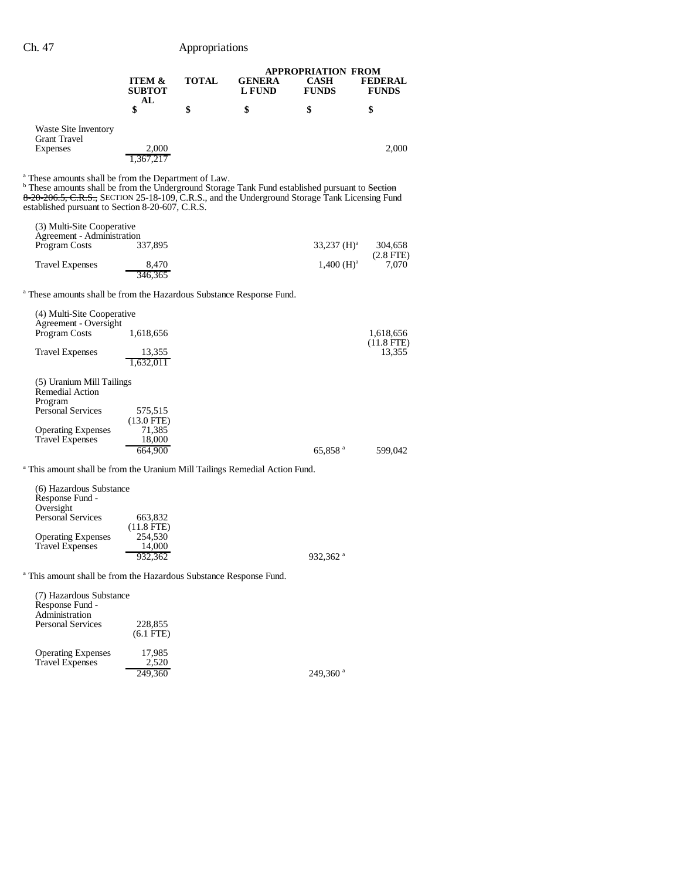|                                                                                                                                                                                                                                                                                                                                     |                                             |              | <b>APPROPRIATION FROM</b> |                       |                                |
|-------------------------------------------------------------------------------------------------------------------------------------------------------------------------------------------------------------------------------------------------------------------------------------------------------------------------------------|---------------------------------------------|--------------|---------------------------|-----------------------|--------------------------------|
|                                                                                                                                                                                                                                                                                                                                     | ITEM &<br><b>SUBTOT</b><br>AL               | <b>TOTAL</b> | <b>GENERA</b><br>L FUND   | CASH<br><b>FUNDS</b>  | <b>FEDERAL</b><br><b>FUNDS</b> |
|                                                                                                                                                                                                                                                                                                                                     | \$                                          | \$           | \$                        | \$                    | \$                             |
| Waste Site Inventory<br><b>Grant Travel</b><br>Expenses                                                                                                                                                                                                                                                                             | 2,000<br>1,367,217                          |              |                           |                       | 2,000                          |
| <sup>a</sup> These amounts shall be from the Department of Law.<br><sup>b</sup> These amounts shall be from the Underground Storage Tank Fund established pursuant to Section<br>8-20-206.5, C.R.S., SECTION 25-18-109, C.R.S., and the Underground Storage Tank Licensing Fund<br>established pursuant to Section 8-20-607, C.R.S. |                                             |              |                           |                       |                                |
| (3) Multi-Site Cooperative                                                                                                                                                                                                                                                                                                          |                                             |              |                           |                       |                                |
| Agreement - Administration<br>Program Costs                                                                                                                                                                                                                                                                                         | 337,895                                     |              |                           | 33,237 $(H)^a$        | 304,658                        |
| <b>Travel Expenses</b>                                                                                                                                                                                                                                                                                                              | 8,470<br>346,365                            |              |                           | $1,400 \ (H)^a$       | $(2.8$ FTE $)$<br>7,070        |
| <sup>a</sup> These amounts shall be from the Hazardous Substance Response Fund.                                                                                                                                                                                                                                                     |                                             |              |                           |                       |                                |
| (4) Multi-Site Cooperative<br>Agreement - Oversight<br>Program Costs                                                                                                                                                                                                                                                                | 1,618,656                                   |              |                           |                       | 1,618,656                      |
| <b>Travel Expenses</b>                                                                                                                                                                                                                                                                                                              | 13,355<br>1.632.011                         |              |                           |                       | $(11.8$ FTE)<br>13,355         |
| (5) Uranium Mill Tailings<br>Remedial Action<br>Program<br>Personal Services                                                                                                                                                                                                                                                        | 575,515                                     |              |                           |                       |                                |
| <b>Operating Expenses</b><br><b>Travel Expenses</b>                                                                                                                                                                                                                                                                                 | $(13.0$ FTE)<br>71,385<br>18,000<br>664.900 |              |                           | $65,858$ <sup>a</sup> | 599,042                        |
| <sup>a</sup> This amount shall be from the Uranium Mill Tailings Remedial Action Fund.                                                                                                                                                                                                                                              |                                             |              |                           |                       |                                |
| (6) Hazardous Substance<br>Response Fund -<br>Oversight                                                                                                                                                                                                                                                                             |                                             |              |                           |                       |                                |
| <b>Personal Services</b>                                                                                                                                                                                                                                                                                                            | 663,832                                     |              |                           |                       |                                |

Operating Expenses 254,530 Travel Expenses 14,000

932,362 $a$ 

<sup>a</sup> This amount shall be from the Hazardous Substance Response Fund.

(11.8 FTE)

| (7) Hazardous Substance<br>Response Fund -<br>Administration<br><b>Personal Services</b> | 228,855<br>$(6.1$ FTE $)$ |  |
|------------------------------------------------------------------------------------------|---------------------------|--|
| <b>Operating Expenses</b><br><b>Travel Expenses</b>                                      | 17,985<br>2.520           |  |

249,360 $a$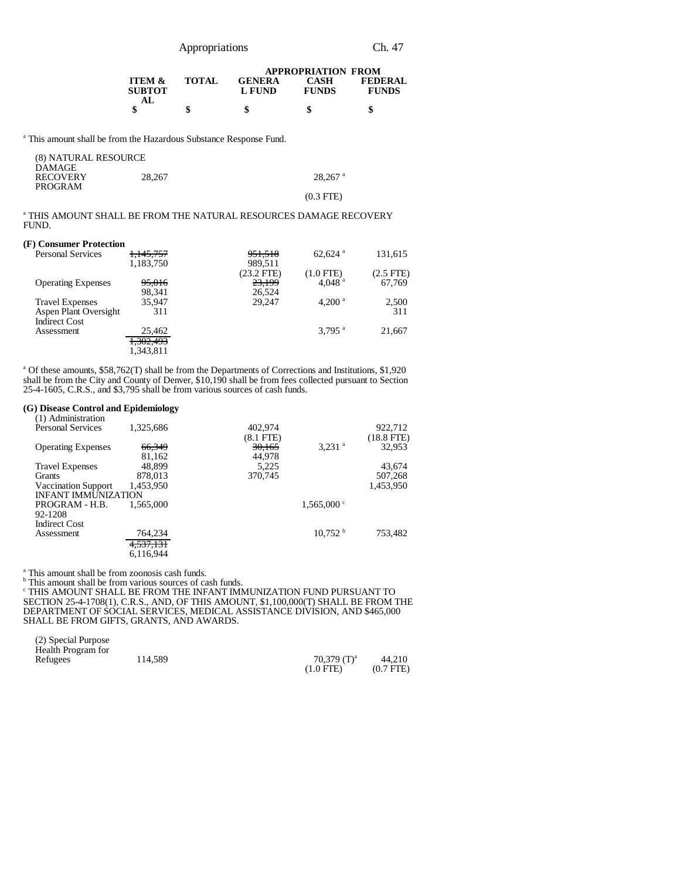Appropriations Ch. 47

|                                           |              |                         | <b>APPROPRIATION FROM</b>   |                                |
|-------------------------------------------|--------------|-------------------------|-----------------------------|--------------------------------|
| <b>ITEM &amp;</b><br><b>SUBTOT</b><br>AL. | <b>TOTAL</b> | <b>GENERA</b><br>L FUND | <b>CASH</b><br><b>FUNDS</b> | <b>FEDERAL</b><br><b>FUNDS</b> |
|                                           | ٦,           |                         |                             | æ                              |

<sup>a</sup> This amount shall be from the Hazardous Substance Response Fund.

| (8) NATURAL RESOURCE |        |                       |
|----------------------|--------|-----------------------|
| <b>DAMAGE</b>        |        |                       |
| <b>RECOVERY</b>      | 28.267 | $28.267$ <sup>a</sup> |
| PROGRAM              |        |                       |
|                      |        | $(0.3$ FTE)           |

<sup>a</sup> THIS AMOUNT SHALL BE FROM THE NATURAL RESOURCES DAMAGE RECOVERY FUND.

#### **(F) Consumer Protection**

| . , companier - roveveron<br><b>Personal Services</b> | <del>1,145,757</del> | 951,518      | $62,624$ <sup>a</sup> | 131,615        |
|-------------------------------------------------------|----------------------|--------------|-----------------------|----------------|
|                                                       |                      |              |                       |                |
|                                                       | 1,183,750            | 989,511      |                       |                |
|                                                       |                      | $(23.2$ FTE) | $(1.0$ FTE)           | $(2.5$ FTE $)$ |
| <b>Operating Expenses</b>                             | 95,016               | 23,199       | 4.048 $^{a}$          | 67,769         |
|                                                       | 98.341               | 26,524       |                       |                |
| <b>Travel Expenses</b>                                | 35.947               | 29.247       | 4.200 <sup>a</sup>    | 2,500          |
| Aspen Plant Oversight                                 | 311                  |              |                       | 311            |
| <b>Indirect Cost</b>                                  |                      |              |                       |                |
| Assessment                                            | 25,462               |              | $3.795$ <sup>a</sup>  | 21.667         |
|                                                       | <del>1,302,493</del> |              |                       |                |
|                                                       | 1.343.811            |              |                       |                |

a Of these amounts, \$58,762(T) shall be from the Departments of Corrections and Institutions, \$1,920 shall be from the City and County of Denver, \$10,190 shall be from fees collected pursuant to Section 25-4-1605, C.R.S., and \$3,795 shall be from various sources of cash funds.

#### **(G) Disease Control and Epidemiology**

| (1) Administration         |           |           |                      |              |
|----------------------------|-----------|-----------|----------------------|--------------|
| <b>Personal Services</b>   | 1,325,686 | 402.974   |                      | 922.712      |
|                            |           | (8.1 FTE) |                      | $(18.8$ FTE) |
| <b>Operating Expenses</b>  | 66,349    | 30,165    | $3,231$ <sup>a</sup> | 32.953       |
|                            | 81,162    | 44,978    |                      |              |
| <b>Travel Expenses</b>     | 48.899    | 5.225     |                      | 43,674       |
| <b>Grants</b>              | 878,013   | 370,745   |                      | 507,268      |
| Vaccination Support        | 1,453,950 |           |                      | 1,453,950    |
| <b>INFANT IMMUNIZATION</b> |           |           |                      |              |
| PROGRAM - H.B.             | 1.565,000 |           | $1,565,000$ °        |              |
| 92-1208                    |           |           |                      |              |
| <b>Indirect Cost</b>       |           |           |                      |              |
| Assessment                 | 764,234   |           | 10.752 <sup>b</sup>  | 753.482      |
|                            | 4,537,131 |           |                      |              |
|                            | 6.116.944 |           |                      |              |
|                            |           |           |                      |              |

<sup>a</sup> This amount shall be from zoonosis cash funds.

<sup>b</sup> This amount shall be from various sources of cash funds.<br><sup>c</sup> THIS AMOUNT SHALL BE FROM THE INFANT IMMUNIZATION FUND PURSUANT TO SECTION 25-4-1708(1), C.R.S., AND, OF THIS AMOUNT, \$1,100,000(T) SHALL BE FROM THE DEPARTMENT OF SOCIAL SERVICES, MEDICAL ASSISTANCE DIVISION, AND \$465,000 SHALL BE FROM GIFTS, GRANTS, AND AWARDS.

| (2) Special Purpose<br>Health Program for |         |                |             |
|-------------------------------------------|---------|----------------|-------------|
| Refugees                                  | 114.589 | 70.379 $(T)^a$ | 44.210      |
|                                           |         | $(1.0$ FTE)    | $(0.7$ FTE) |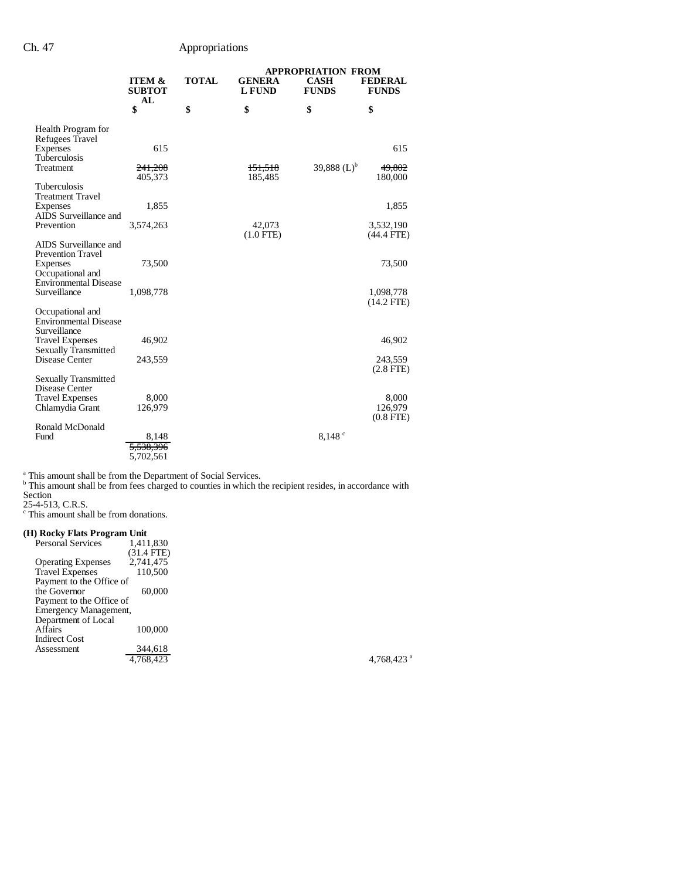|                                                                                   |                                    |              |                                | <b>APPROPRIATION FROM</b>   |                                    |
|-----------------------------------------------------------------------------------|------------------------------------|--------------|--------------------------------|-----------------------------|------------------------------------|
|                                                                                   | <b>ITEM &amp;</b><br><b>SUBTOT</b> | <b>TOTAL</b> | <b>GENERA</b><br><b>L FUND</b> | <b>CASH</b><br><b>FUNDS</b> | <b>FEDERAL</b><br><b>FUNDS</b>     |
|                                                                                   | AL<br>\$                           | \$           | \$                             | \$                          | \$                                 |
| Health Program for                                                                |                                    |              |                                |                             |                                    |
| Refugees Travel<br>Expenses<br>Tuberculosis                                       | 615                                |              |                                |                             | 615                                |
| Treatment                                                                         | 241,208<br>405,373                 |              | <del>151,518</del><br>185,485  | 39,888 $(L)^b$              | 49,802<br>180,000                  |
| Tuberculosis<br><b>Treatment Travel</b>                                           |                                    |              |                                |                             |                                    |
| Expenses<br>AIDS Surveillance and                                                 | 1,855                              |              |                                |                             | 1,855                              |
| Prevention                                                                        | 3,574,263                          |              | 42,073<br>$(1.0$ FTE)          |                             | 3,532,190<br>$(44.4$ FTE)          |
| AIDS Surveillance and<br><b>Prevention Travel</b><br>Expenses<br>Occupational and | 73,500                             |              |                                |                             | 73,500                             |
| <b>Environmental Disease</b><br>Surveillance                                      | 1,098,778                          |              |                                |                             | 1,098,778                          |
| Occupational and<br><b>Environmental Disease</b><br>Surveillance                  |                                    |              |                                |                             | $(14.2$ FTE $)$                    |
| <b>Travel Expenses</b><br><b>Sexually Transmitted</b>                             | 46,902                             |              |                                |                             | 46,902                             |
| Disease Center                                                                    | 243,559                            |              |                                |                             | 243,559<br>$(2.8$ FTE $)$          |
| <b>Sexually Transmitted</b><br>Disease Center                                     |                                    |              |                                |                             |                                    |
| <b>Travel Expenses</b><br>Chlamydia Grant                                         | 8,000<br>126,979                   |              |                                |                             | 8,000<br>126,979<br>$(0.8$ FTE $)$ |
| Ronald McDonald<br>Fund                                                           | 8.148                              |              |                                | 8,148°                      |                                    |
|                                                                                   | <del>5,538,396</del><br>5,702,561  |              |                                |                             |                                    |

<sup>a</sup> This amount shall be from the Department of Social Services.<br><sup>b</sup> This amount shall be from fees charged to counties in which the recipient resides, in accordance with

Section

25-4-513, C.R.S. c This amount shall be from donations.

#### **(H) Rocky Flats Program Unit**

| <b>Personal Services</b>  | 1,411,830  |               |
|---------------------------|------------|---------------|
|                           | (31.4 FTE) |               |
| <b>Operating Expenses</b> | 2,741,475  |               |
| <b>Travel Expenses</b>    | 110,500    |               |
| Payment to the Office of  |            |               |
| the Governor              | 60,000     |               |
| Payment to the Office of  |            |               |
| Emergency Management,     |            |               |
| Department of Local       |            |               |
| Affairs                   | 100,000    |               |
| <b>Indirect Cost</b>      |            |               |
| Assessment                | 344,618    |               |
|                           | 4.768.423  | 4,768,423 $a$ |
|                           |            |               |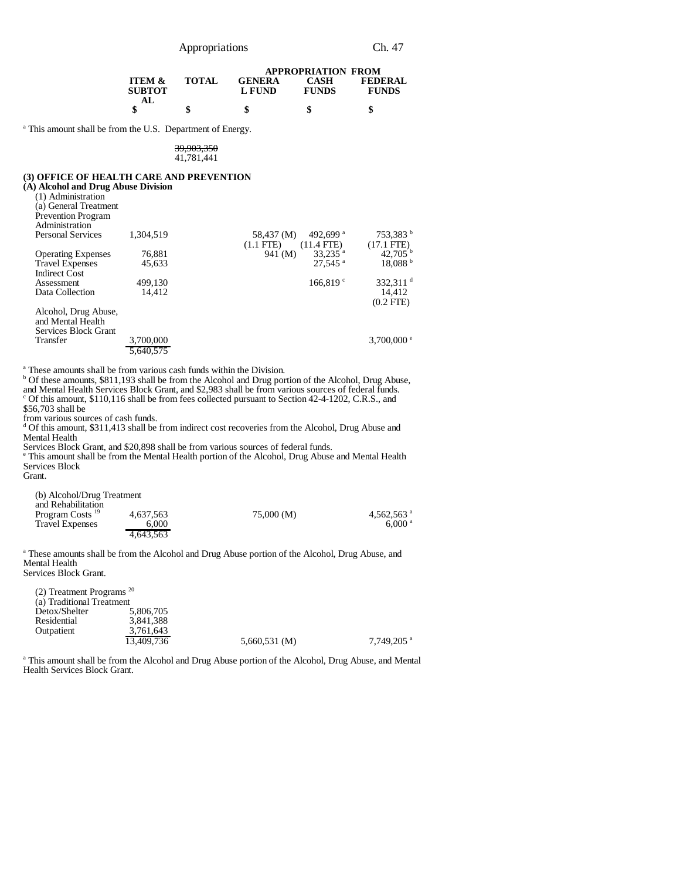|                   |              |               | <b>APPROPRIATION FROM</b> |                |
|-------------------|--------------|---------------|---------------------------|----------------|
| <b>ITEM &amp;</b> | <b>TOTAL</b> | <b>GENERA</b> | CASH                      | <b>FEDERAL</b> |
| <b>SUBTOT</b>     |              | L FUND        | <b>FUNDS</b>              | <b>FUNDS</b>   |
| AL.               |              |               |                           |                |
|                   |              | S             | S                         | аb             |

<sup>a</sup> This amount shall be from the U.S. Department of Energy.

#### 39,903,350 41,781,441

# **(3) OFFICE OF HEALTH CARE AND PREVENTION**

| (3) OFFICE OF HEALTH CARE AND PREVENTION |           |                                    |                      |
|------------------------------------------|-----------|------------------------------------|----------------------|
| (A) Alcohol and Drug Abuse Division      |           |                                    |                      |
| (1) Administration                       |           |                                    |                      |
| (a) General Treatment                    |           |                                    |                      |
| <b>Prevention Program</b>                |           |                                    |                      |
| Administration                           |           |                                    |                      |
| <b>Personal Services</b>                 | 1.304.519 | 492,699 <sup>a</sup><br>58,437 (M) | 753,383 <sup>b</sup> |
|                                          |           | $(1.1$ FTE $)$<br>$(11.4$ FTE)     | $(17.1 \text{ FTE})$ |
| <b>Operating Expenses</b>                | 76,881    | $33,235$ <sup>a</sup><br>941 (M)   | 42.705               |
| <b>Travel Expenses</b>                   | 45.633    | $27.545$ <sup>a</sup>              | 18.088 <sup>b</sup>  |
| <b>Indirect Cost</b>                     |           |                                    |                      |
| Assessment                               | 499.130   | 166.819 $\degree$                  | 332.311 $^d$         |
| Data Collection                          | 14.412    |                                    | 14,412               |
|                                          |           |                                    | $(0.2$ FTE)          |
| Alcohol, Drug Abuse,                     |           |                                    |                      |
| and Mental Health                        |           |                                    |                      |
| Services Block Grant                     |           |                                    |                      |
| Transfer                                 | 3,700,000 |                                    | 3,700,000 $^{\circ}$ |
|                                          | 5.640.575 |                                    |                      |
|                                          |           |                                    |                      |

<sup>a</sup> These amounts shall be from various cash funds within the Division.<br><sup>b</sup> Of these amounts, \$811,193 shall be from the Alcohol and Drug portion of the Alcohol, Drug Abuse, and Mental Health Services Block Grant, and \$2,983 shall be from various sources of federal funds. <sup>c</sup> Of this amount, \$110,116 shall be from fees collected pursuant to Section 42-4-1202, C.R.S., and

\$56,703 shall be

from various sources of cash funds.<br><sup>d</sup> Of this amount, \$311,413 shall be from indirect cost recoveries from the Alcohol, Drug Abuse and Mental Health

Services Block Grant, and \$20,898 shall be from various sources of federal funds. e This amount shall be from the Mental Health portion of the Alcohol, Drug Abuse and Mental Health Services Block

Grant.

| (b) Alcohol/Drug Treatment  |           |            |                    |
|-----------------------------|-----------|------------|--------------------|
| and Rehabilitation          |           |            |                    |
| Program Costs <sup>19</sup> | 4.637.563 | 75,000 (M) | 4.562.563 $a$      |
| <b>Travel Expenses</b>      | 6.000     |            | 6.000 <sup>a</sup> |
|                             | 4.643.563 |            |                    |

<sup>a</sup> These amounts shall be from the Alcohol and Drug Abuse portion of the Alcohol, Drug Abuse, and Mental Health Services Block Grant.

(2) Treatment Programs <sup>20</sup> (a) Traditional Treatment<br>Detox/Shelter 5,806,705 Detox/Shelter<br>Residential 3,841,388<br>3,761,643 Outpatient 3,761,643<br>13,409,736 5,660,531 (M) 7,749,205 a

<sup>a</sup> This amount shall be from the Alcohol and Drug Abuse portion of the Alcohol, Drug Abuse, and Mental Health Services Block Grant.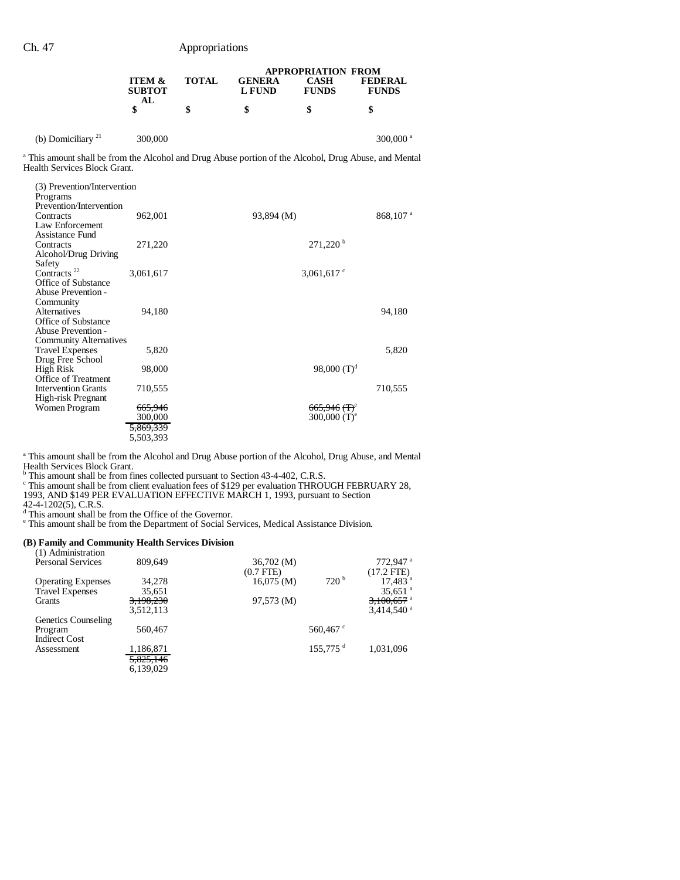|                      |                                          |              | <b>APPROPRIATION FROM</b> |                             |                                |
|----------------------|------------------------------------------|--------------|---------------------------|-----------------------------|--------------------------------|
|                      | <b>ITEM &amp;</b><br><b>SUBTOT</b><br>AL | <b>TOTAL</b> | <b>GENERA</b><br>L FUND   | <b>CASH</b><br><b>FUNDS</b> | <b>FEDERAL</b><br><b>FUNDS</b> |
|                      |                                          | \$           |                           |                             | \$                             |
| (b) Domiciliary $21$ | 300,000                                  |              |                           |                             | $300,000$ <sup>a</sup>         |

a This amount shall be from the Alcohol and Drug Abuse portion of the Alcohol, Drug Abuse, and Mental Health Services Block Grant.

| (3) Prevention/Intervention<br>Programs                                                      |                                            |                                             |                      |
|----------------------------------------------------------------------------------------------|--------------------------------------------|---------------------------------------------|----------------------|
| Prevention/Intervention<br>Contracts<br>Law Enforcement                                      | 962,001                                    | 93,894 (M)                                  | 868,107 <sup>a</sup> |
| Assistance Fund<br>Contracts<br>Alcohol/Drug Driving                                         | 271,220                                    | $271,220$ <sup>b</sup>                      |                      |
| Safety<br>Contracts <sup>22</sup><br>Office of Substance                                     | 3,061,617                                  | 3,061,617 $\degree$                         |                      |
| Abuse Prevention -<br>Community<br>Alternatives<br>Office of Substance<br>Abuse Prevention - | 94,180                                     |                                             | 94,180               |
| <b>Community Alternatives</b><br><b>Travel Expenses</b>                                      | 5,820                                      |                                             | 5,820                |
| Drug Free School<br>High Risk<br><b>Office of Treatment</b>                                  | 98,000                                     | 98,000 $(T)^d$                              |                      |
| <b>Intervention Grants</b><br>High-risk Pregnant                                             | 710,555                                    |                                             | 710,555              |
| Women Program                                                                                | <del>665,946</del><br>300,000<br>5,869,339 | 665,946 (T) <sup>e</sup><br>300,000 $(T)^e$ |                      |
|                                                                                              | 5,503,393                                  |                                             |                      |

<sup>a</sup> This amount shall be from the Alcohol and Drug Abuse portion of the Alcohol, Drug Abuse, and Mental

Health Services Block Grant.<br><sup>b</sup> This amount shall be from fines collected pursuant to Section 43-4-402, C.R.S.<br><sup>c</sup> This amount shall be from client evaluation fees of \$129 per evaluation THROUGH FEBRUARY 28, 1993, AND \$149 PER EVALUATION EFFECTIVE MARCH 1, 1993, pursuant to Section

42-4-1202(5), C.R.S.<br><sup>d</sup> This amount shall be from the Office of the Governor.<br><sup>e</sup> This amount shall be from the Department of Social Services, Medical Assistance Division.

**(B) Family and Community Health Services Division** (1) Administration

| <b>Personal Services</b>  | 809,649   | 36,702 (M)     |                        | 772.947 <sup>a</sup>     |
|---------------------------|-----------|----------------|------------------------|--------------------------|
|                           |           | $(0.7$ FTE $)$ |                        | $(17.2$ FTE)             |
| <b>Operating Expenses</b> | 34,278    | $16,075 \,(M)$ | 720 <sup>b</sup>       | $17.483$ <sup>a</sup>    |
| <b>Travel Expenses</b>    | 35,651    |                |                        | 35,651 $^{\circ}$        |
| Grants                    | 3,198,230 | 97,573 (M)     |                        | $3,100,657$ <sup>a</sup> |
|                           | 3,512,113 |                |                        | $3.414.540$ <sup>a</sup> |
| Genetics Counseling       |           |                |                        |                          |
| Program                   | 560,467   |                | 560,467 $\degree$      |                          |
| <b>Indirect Cost</b>      |           |                |                        |                          |
| Assessment                | 1,186,871 |                | $155.775$ <sup>d</sup> | 1,031,096                |
|                           | 5,825,146 |                |                        |                          |
|                           | 6.139.029 |                |                        |                          |
|                           |           |                |                        |                          |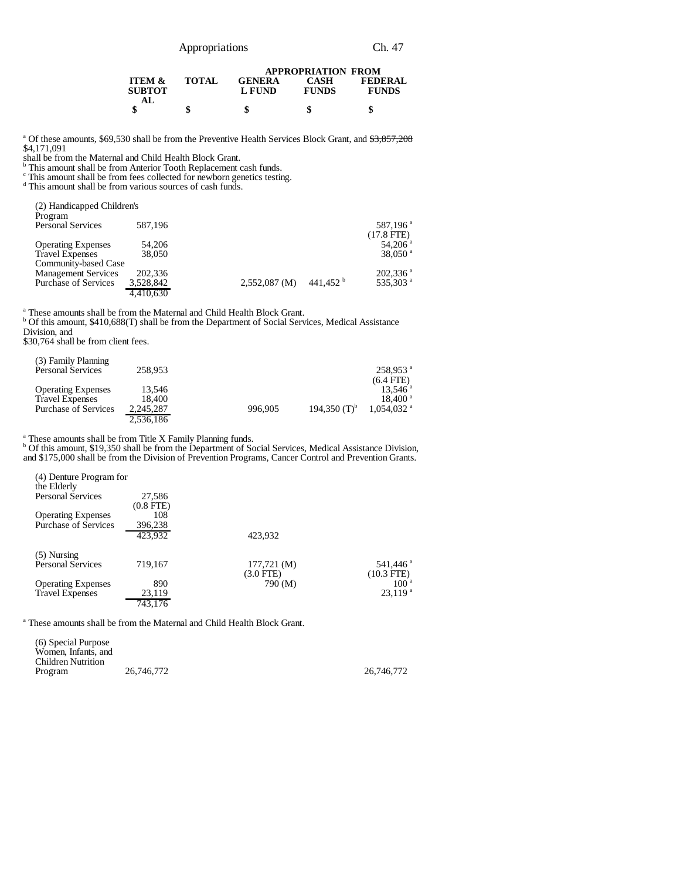| Appropriations |
|----------------|
|----------------|

|                                           |              | <b>APPROPRIATION FROM</b> |                      |                                |  |  |
|-------------------------------------------|--------------|---------------------------|----------------------|--------------------------------|--|--|
| <b>ITEM &amp;</b><br><b>SUBTOT</b><br>AL. | <b>TOTAL</b> | <b>GENERA</b><br>L FUND   | CASH<br><b>FUNDS</b> | <b>FEDERAL</b><br><b>FUNDS</b> |  |  |
|                                           | \$           | S                         |                      |                                |  |  |

<sup>a</sup> Of these amounts, \$69,530 shall be from the Preventive Health Services Block Grant, and \$3,857,208 \$4,171,091

shall be from the Maternal and Child Health Block Grant. b This amount shall be from Anterior Tooth Replacement cash funds.

c This amount shall be from fees collected for newborn genetics testing. d This amount shall be from various sources of cash funds.

| (2) Handicapped Children's<br>Program |           |                 |                    |                        |
|---------------------------------------|-----------|-----------------|--------------------|------------------------|
| <b>Personal Services</b>              | 587.196   |                 |                    | 587,196 <sup>a</sup>   |
|                                       |           |                 |                    | $(17.8$ FTE)           |
| <b>Operating Expenses</b>             | 54,206    |                 |                    | 54,206 $^{a}$          |
| <b>Travel Expenses</b>                | 38,050    |                 |                    | 38,050 $^{\rm a}$      |
| Community-based Case                  |           |                 |                    |                        |
| <b>Management Services</b>            | 202,336   |                 |                    | $202,336$ <sup>a</sup> |
| <b>Purchase of Services</b>           | 3,528,842 | $2,552,087$ (M) | 441.452 $^{\rm b}$ | 535.303 <sup>a</sup>   |
|                                       | 4.410.630 |                 |                    |                        |

<sup>a</sup> These amounts shall be from the Maternal and Child Health Block Grant.<br><sup>b</sup> Of this amount, \$410,688(T) shall be from the Department of Social Services, Medical Assistance Division, and

\$30,764 shall be from client fees.

| (3) Family Planning         |           |         |                 | 258.953 <sup>a</sup>     |
|-----------------------------|-----------|---------|-----------------|--------------------------|
| <b>Personal Services</b>    | 258,953   |         |                 |                          |
|                             |           |         |                 | $(6.4$ FTE)              |
| <b>Operating Expenses</b>   | 13.546    |         |                 | $13.546$ <sup>a</sup>    |
| <b>Travel Expenses</b>      | 18.400    |         |                 | $18,400^{\text{ a}}$     |
| <b>Purchase of Services</b> | 2,245,287 | 996.905 | 194.350 $(T)^b$ | $1.054.032$ <sup>a</sup> |
|                             | 2.536.186 |         |                 |                          |

<sup>a</sup> These amounts shall be from Title X Family Planning funds.<br><sup>b</sup> Of this amount, \$19,350 shall be from the Department of Social Services, Medical Assistance Division, and \$175,000 shall be from the Division of Prevention Programs, Cancer Control and Prevention Grants.

| (4) Denture Program for   |                |                           |                      |
|---------------------------|----------------|---------------------------|----------------------|
| the Elderly               |                |                           |                      |
| <b>Personal Services</b>  | 27,586         |                           |                      |
|                           | $(0.8$ FTE $)$ |                           |                      |
| <b>Operating Expenses</b> | 108            |                           |                      |
| Purchase of Services      | 396,238        |                           |                      |
|                           | 423,932        | 423.932                   |                      |
| $(5)$ Nursing             |                |                           |                      |
| <b>Personal Services</b>  | 719,167        | $177,721 \, (\mathrm{M})$ | 541,446 <sup>a</sup> |
|                           |                | (3.0 FTE)                 | $(10.3$ FTE)         |
| <b>Operating Expenses</b> | 890            | 790 (M)                   | 100 <sup>a</sup>     |
| <b>Travel Expenses</b>    | 23,119         |                           | $23,119^{a}$         |
|                           | 743,176        |                           |                      |

<sup>a</sup> These amounts shall be from the Maternal and Child Health Block Grant.

| (6) Special Purpose<br>Women. Infants, and |            |            |
|--------------------------------------------|------------|------------|
| Children Nutrition                         |            |            |
| Program                                    | 26,746,772 | 26,746,772 |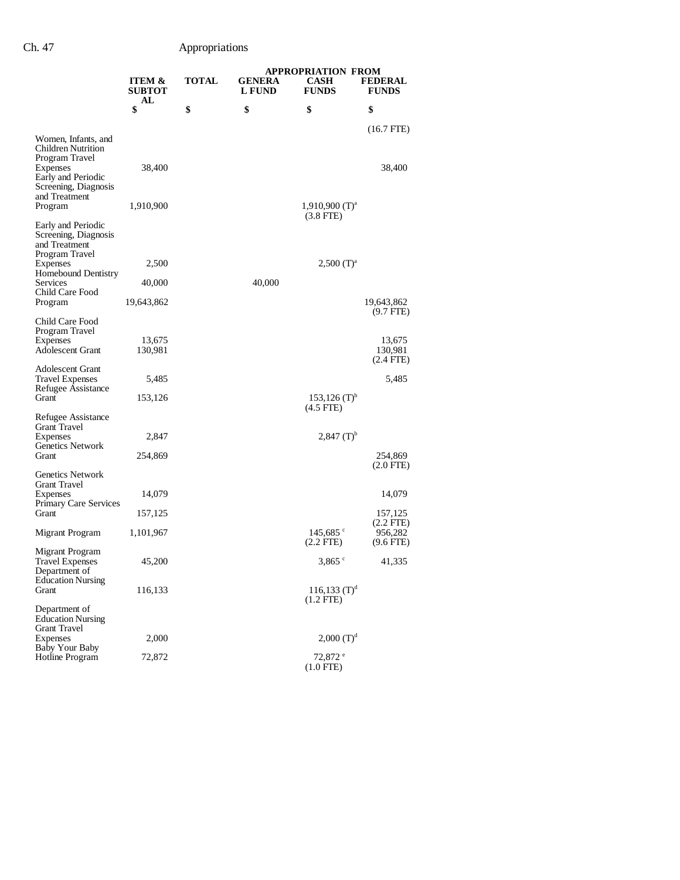|                                                                               |                         |              | <b>APPROPRIATION FROM</b> |                                             |                                       |
|-------------------------------------------------------------------------------|-------------------------|--------------|---------------------------|---------------------------------------------|---------------------------------------|
|                                                                               | ITEM &<br><b>SUBTOT</b> | <b>TOTAL</b> | <b>GENERA</b><br>L FUND   | <b>CASH</b><br><b>FUNDS</b>                 | <b>FEDERAL</b><br><b>FUNDS</b>        |
|                                                                               | AL<br>\$                | \$           | \$                        | \$                                          | \$                                    |
| Women, Infants, and<br><b>Children Nutrition</b><br>Program Travel            |                         |              |                           |                                             | (16.7 FTE)                            |
| Expenses<br>Early and Periodic<br>Screening, Diagnosis<br>and Treatment       | 38,400                  |              |                           |                                             | 38,400                                |
| Program                                                                       | 1,910,900               |              |                           | $1,910,900$ (T) <sup>a</sup><br>$(3.8$ FTE) |                                       |
| Early and Periodic<br>Screening, Diagnosis<br>and Treatment<br>Program Travel |                         |              |                           |                                             |                                       |
| Expenses                                                                      | 2,500                   |              |                           | $2,500$ (T) <sup>a</sup>                    |                                       |
| Homebound Dentistry<br>Services<br>Child Care Food                            | 40,000                  |              | 40,000                    |                                             |                                       |
| Program                                                                       | 19,643,862              |              |                           |                                             | 19,643,862<br>$(9.7$ FTE)             |
| Child Care Food                                                               |                         |              |                           |                                             |                                       |
| Program Travel                                                                |                         |              |                           |                                             |                                       |
| Expenses<br><b>Adolescent Grant</b>                                           | 13,675<br>130,981       |              |                           |                                             | 13,675<br>130,981                     |
|                                                                               |                         |              |                           |                                             | (2.4 FTE)                             |
| <b>Adolescent Grant</b><br><b>Travel Expenses</b><br>Refugee Assistance       | 5,485                   |              |                           |                                             | 5,485                                 |
| Grant                                                                         | 153,126                 |              |                           | $153,126$ (T) <sup>b</sup>                  |                                       |
| Refugee Assistance                                                            |                         |              |                           | $(4.5$ FTE)                                 |                                       |
| Grant Travel                                                                  |                         |              |                           |                                             |                                       |
| Expenses<br><b>Genetics Network</b>                                           | 2,847                   |              |                           | $2,847$ (T) <sup>b</sup>                    |                                       |
| Grant                                                                         | 254,869                 |              |                           |                                             | 254,869                               |
| <b>Genetics Network</b>                                                       |                         |              |                           |                                             | (2.0 FTE)                             |
| Grant Travel                                                                  |                         |              |                           |                                             |                                       |
| Expenses<br><b>Primary Care Services</b>                                      | 14,079                  |              |                           |                                             | 14,079                                |
| Grant                                                                         | 157,125                 |              |                           |                                             | 157,125                               |
| Migrant Program                                                               | 1,101,967               |              |                           | 145,685 $\degree$<br>$(2.2$ FTE)            | $(2.2$ FTE)<br>956,282<br>$(9.6$ FTE) |
| Migrant Program<br><b>Travel Expenses</b>                                     | 45,200                  |              |                           | $3,865$ $^{\circ}$                          | 41,335                                |
| Department of                                                                 |                         |              |                           |                                             |                                       |
| <b>Education Nursing</b><br>Grant                                             | 116,133                 |              |                           | $116,133$ $(T)^d$<br>$(1.2$ FTE $)$         |                                       |
| Department of<br><b>Education Nursing</b>                                     |                         |              |                           |                                             |                                       |
| Grant Travel<br>Expenses                                                      | 2,000                   |              |                           | $2,000$ $(T)d$                              |                                       |
| <b>Baby Your Baby</b><br>Hotline Program                                      | 72,872                  |              |                           | 72,872 °<br>$(1.0$ FTE)                     |                                       |
|                                                                               |                         |              |                           |                                             |                                       |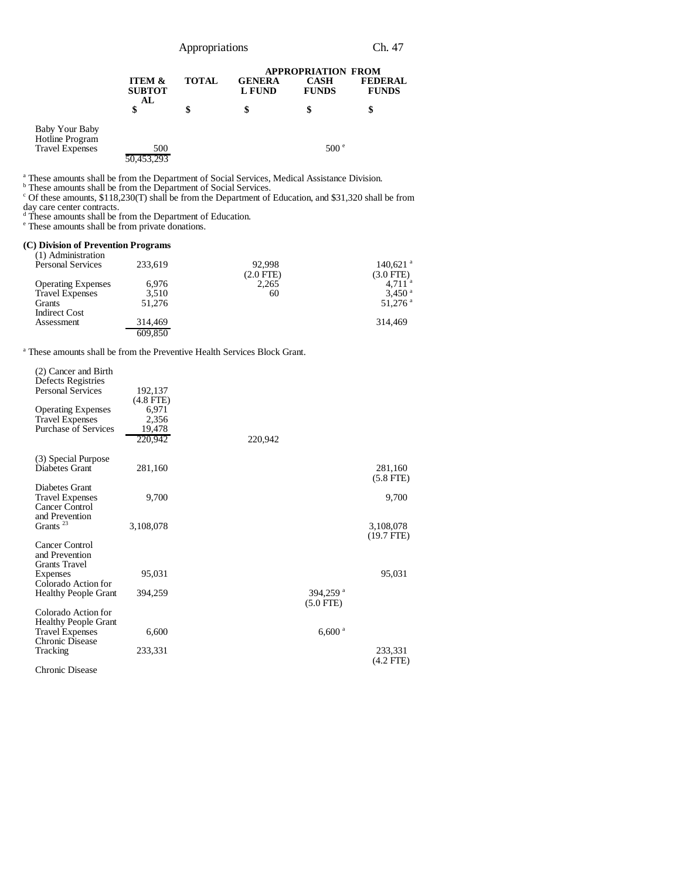|                                                                    |                                          |              | <b>APPROPRIATION FROM</b>      |                             |                                |
|--------------------------------------------------------------------|------------------------------------------|--------------|--------------------------------|-----------------------------|--------------------------------|
|                                                                    | <b>ITEM &amp;</b><br><b>SUBTOT</b><br>AL | <b>TOTAL</b> | <b>GENERA</b><br><b>L FUND</b> | <b>CASH</b><br><b>FUNDS</b> | <b>FEDERAL</b><br><b>FUNDS</b> |
|                                                                    |                                          | \$           | \$                             |                             |                                |
| <b>Baby Your Baby</b><br>Hotline Program<br><b>Travel Expenses</b> | 500                                      |              |                                | 500 <sup>°</sup>            |                                |
|                                                                    | .453.293                                 |              |                                |                             |                                |

<sup>a</sup> These amounts shall be from the Department of Social Services, Medical Assistance Division.<br><sup>b</sup> These amounts shall be from the Department of Social Services.<br><sup>c</sup> Of these amounts, \$118,230(T) shall be from the Depart

day care center contracts. d These amounts shall be from the Department of Education. e These amounts shall be from private donations.

#### **(C) Division of Prevention Programs**

| (1) Administration        |         |                |                        |
|---------------------------|---------|----------------|------------------------|
| <b>Personal Services</b>  | 233,619 | 92.998         | $140,621$ <sup>a</sup> |
|                           |         | $(2.0$ FTE $)$ | $(3.0$ FTE $)$         |
| <b>Operating Expenses</b> | 6,976   | 2,265          | 4.711 <sup>a</sup>     |
| <b>Travel Expenses</b>    | 3,510   | 60             | $3.450$ <sup>a</sup>   |
| Grants                    | 51,276  |                | $51.276$ <sup>a</sup>  |
| <b>Indirect Cost</b>      |         |                |                        |
| Assessment                | 314,469 |                | 314.469                |
|                           | 609.850 |                |                        |

<sup>a</sup> These amounts shall be from the Preventive Health Services Block Grant.

| (2) Cancer and Birth<br>Defects Registries<br><b>Personal Services</b> | 192,137<br>$(4.8$ FTE $)$ |                      |                           |
|------------------------------------------------------------------------|---------------------------|----------------------|---------------------------|
| <b>Operating Expenses</b>                                              | 6,971                     |                      |                           |
| <b>Travel Expenses</b>                                                 | 2,356                     |                      |                           |
| <b>Purchase of Services</b>                                            | 19,478                    |                      |                           |
|                                                                        | 220,942                   | 220,942              |                           |
| (3) Special Purpose<br>Diabetes Grant                                  | 281,160                   |                      | 281,160                   |
|                                                                        |                           |                      | $(5.8$ FTE)               |
| Diabetes Grant<br><b>Travel Expenses</b><br><b>Cancer Control</b>      | 9,700                     |                      | 9,700                     |
| and Prevention                                                         |                           |                      |                           |
| Grants <sup>23</sup>                                                   | 3,108,078                 |                      | 3,108,078<br>$(19.7$ FTE) |
| Cancer Control<br>and Prevention<br><b>Grants Travel</b>               |                           |                      |                           |
| Expenses                                                               | 95,031                    |                      | 95,031                    |
| Colorado Action for                                                    |                           |                      |                           |
| <b>Healthy People Grant</b>                                            | 394,259                   | 394,259 <sup>a</sup> |                           |
|                                                                        |                           | $(5.0$ FTE)          |                           |
| Colorado Action for                                                    |                           |                      |                           |
| Healthy People Grant<br><b>Travel Expenses</b>                         | 6,600                     | $6,600$ <sup>a</sup> |                           |
| Chronic Disease                                                        |                           |                      |                           |
| Tracking                                                               | 233,331                   |                      | 233,331<br>(4.2 FTE)      |
| Chronic Disease                                                        |                           |                      |                           |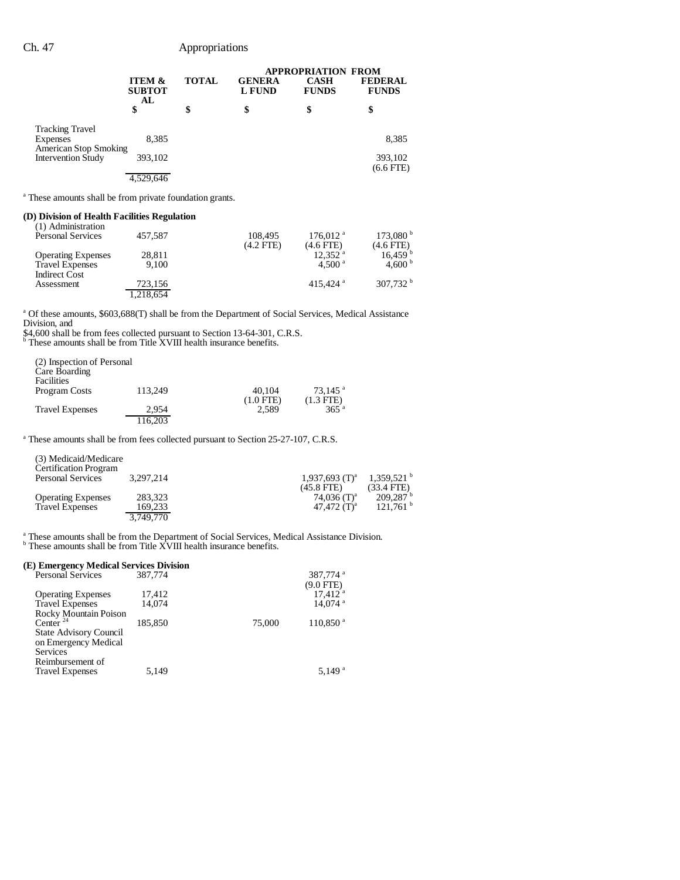|                                                           |                                          |              |                         |                             | <b>APPROPRIATION FROM</b>      |  |
|-----------------------------------------------------------|------------------------------------------|--------------|-------------------------|-----------------------------|--------------------------------|--|
|                                                           | <b>ITEM &amp;</b><br><b>SUBTOT</b><br>AL | <b>TOTAL</b> | <b>GENERA</b><br>L FUND | <b>CASH</b><br><b>FUNDS</b> | <b>FEDERAL</b><br><b>FUNDS</b> |  |
|                                                           | \$                                       | \$           | \$                      | \$                          | \$                             |  |
| <b>Tracking Travel</b>                                    |                                          |              |                         |                             |                                |  |
| Expenses                                                  | 8,385                                    |              |                         |                             | 8,385                          |  |
| <b>American Stop Smoking</b><br><b>Intervention Study</b> | 393,102                                  |              |                         |                             | 393,102                        |  |
|                                                           |                                          |              |                         |                             | $(6.6$ FTE $)$                 |  |
|                                                           | 4.529.646                                |              |                         |                             |                                |  |

<sup>a</sup> These amounts shall be from private foundation grants.

#### **(D) Division of Health Facilities Regulation** (1) Administration

| (I) Aunimistration                 | 457,587              | 108.495     | $176.012$ <sup>a</sup> | $173,080^{\mathrm{b}}$ |
|------------------------------------|----------------------|-------------|------------------------|------------------------|
| <b>Personal Services</b>           |                      | $(4.2$ FTE) | $(4.6$ FTE)            | $(4.6$ FTE)            |
| <b>Operating Expenses</b>          | 28,811               |             | $12.352$ <sup>a</sup>  | 16.459 <sup>b</sup>    |
| <b>Travel Expenses</b>             | 9.100                |             | 4.500 <sup>a</sup>     | 4.600 $^{\rm b}$       |
| <b>Indirect Cost</b><br>Assessment | 723,156<br>1,218,654 |             | 415.424 $a$            | 307.732 $^{\rm b}$     |

<sup>a</sup> Of these amounts, \$603,688(T) shall be from the Department of Social Services, Medical Assistance Division, and

\$4,600 shall be from fees collected pursuant to Section 13-64-301, C.R.S. <sup>b</sup> These amounts shall be from Title XVIII health insurance benefits.

| (2) Inspection of Personal<br>Care Boarding<br>Facilities |         |             |                       |
|-----------------------------------------------------------|---------|-------------|-----------------------|
| Program Costs                                             | 113.249 | 40.104      | $73.145$ <sup>a</sup> |
|                                                           |         | $(1.0$ FTE) | $(1.3$ FTE)           |
| <b>Travel Expenses</b>                                    | 2.954   | 2.589       | $365$ <sup>a</sup>    |
|                                                           | 116.203 |             |                       |

<sup>a</sup> These amounts shall be from fees collected pursuant to Section 25-27-107, C.R.S.

| (3) Medicaid/Medicare<br><b>Certification Program</b> |           |                              |                        |
|-------------------------------------------------------|-----------|------------------------------|------------------------|
| <b>Personal Services</b>                              | 3.297.214 | $1,937,693$ (T) <sup>a</sup> | 1.359.521 <sup>b</sup> |
|                                                       |           | $(45.8$ FTE)                 | $(33.4$ FTE)           |
| <b>Operating Expenses</b>                             | 283,323   | 74,036 $(T)^a$               | 209.287 <sup>b</sup>   |
| <b>Travel Expenses</b>                                | 169.233   | 47.472 $(T)^a$               | 121.761 <sup>b</sup>   |
|                                                       | 3.749.770 |                              |                        |

<sup>a</sup> These amounts shall be from the Department of Social Services, Medical Assistance Division.<br><sup>b</sup> These amounts shall be from Title XVIII health insurance benefits.

#### **(E) Emergency Medical Services Division**

| <b>Personal Services</b>      | 387,774 |        | 387,774 <sup>a</sup>  |
|-------------------------------|---------|--------|-----------------------|
|                               |         |        | $(9.0$ FTE)           |
| <b>Operating Expenses</b>     | 17.412  |        | $17.412$ <sup>a</sup> |
| <b>Travel Expenses</b>        | 14.074  |        | $14.074$ <sup>a</sup> |
| <b>Rocky Mountain Poison</b>  |         |        |                       |
| Center $^{24}$                | 185,850 | 75,000 | 110,850 <sup>a</sup>  |
| <b>State Advisory Council</b> |         |        |                       |
| on Emergency Medical          |         |        |                       |
| Services                      |         |        |                       |
| Reimbursement of              |         |        |                       |
| <b>Travel Expenses</b>        | 5,149   |        | 5.149 $^{\rm a}$      |
|                               |         |        |                       |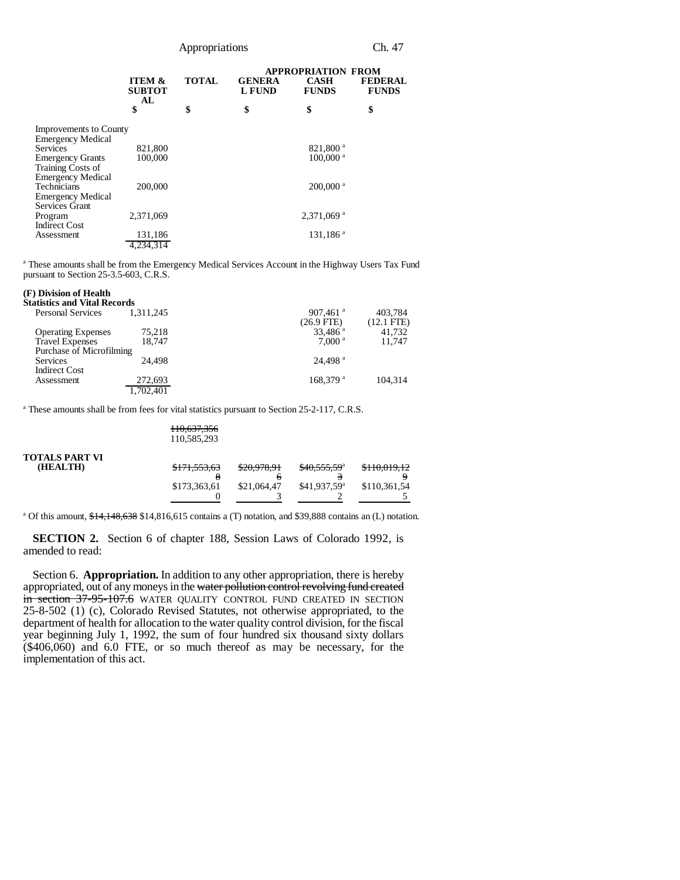Appropriations Ch. 47

|                               |                                                |              | <b>APPROPRIATION FROM</b> |                             |                                |
|-------------------------------|------------------------------------------------|--------------|---------------------------|-----------------------------|--------------------------------|
|                               | <b>ITEM &amp;</b><br><b>SUBTOT</b><br>AL<br>\$ | <b>TOTAL</b> | <b>GENERA</b><br>L FUND   | <b>CASH</b><br><b>FUNDS</b> | <b>FEDERAL</b><br><b>FUNDS</b> |
|                               |                                                | \$           | \$                        | \$                          | \$                             |
| <b>Improvements to County</b> |                                                |              |                           |                             |                                |
| Emergency Medical             |                                                |              |                           |                             |                                |
| Services                      | 821,800                                        |              |                           | 821,800 <sup>a</sup>        |                                |
| <b>Emergency Grants</b>       | 100,000                                        |              |                           | $100,000$ <sup>a</sup>      |                                |
| Training Costs of             |                                                |              |                           |                             |                                |
| Emergency Medical             |                                                |              |                           |                             |                                |
| Technicians                   | 200,000                                        |              |                           | $200,000$ <sup>a</sup>      |                                |
| Emergency Medical             |                                                |              |                           |                             |                                |
| Services Grant                |                                                |              |                           |                             |                                |
| Program                       | 2,371,069                                      |              |                           | 2,371,069 <sup>a</sup>      |                                |
| <b>Indirect Cost</b>          |                                                |              |                           |                             |                                |
| Assessment                    | 131,186                                        |              |                           | 131,186 <sup>a</sup>        |                                |
|                               | 4.234.314                                      |              |                           |                             |                                |
|                               |                                                |              |                           |                             |                                |

<sup>a</sup> These amounts shall be from the Emergency Medical Services Account in the Highway Users Tax Fund pursuant to Section 25-3.5-603, C.R.S.

### **(F) Division of Health**

| Statistics and Vital Records |           |                                        |                         |
|------------------------------|-----------|----------------------------------------|-------------------------|
| <b>Personal Services</b>     | 1.311.245 | $907,461$ <sup>a</sup><br>$(26.9$ FTE) | 403,784<br>$(12.1$ FTE) |
| <b>Operating Expenses</b>    | 75.218    | $33.486$ <sup>a</sup>                  | 41,732                  |
| <b>Travel Expenses</b>       | 18.747    | 7.000 <sup>a</sup>                     | 11.747                  |
| Purchase of Microfilming     |           |                                        |                         |
| Services                     | 24.498    | $24.498$ <sup>a</sup>                  |                         |
| <b>Indirect Cost</b>         |           |                                        |                         |
| Assessment                   | 272,693   | $168.379$ <sup>a</sup>                 | 104.314                 |
|                              | 1.702.401 |                                        |                         |

<sup>a</sup> These amounts shall be from fees for vital statistics pursuant to Section 25-2-117, C.R.S. 110,637,356

|                                   | 110,037,330<br>110,585,293 |             |                           |                          |
|-----------------------------------|----------------------------|-------------|---------------------------|--------------------------|
| <b>TOTALS PART VI</b><br>(HEALTH) | \$171,553,63               | \$20,978,91 | \$40,555,59 <sup>a</sup>  | \$110.010.12<br>0.017.12 |
|                                   | \$173,363,61               | \$21,064,47 | $$41.937.59$ <sup>a</sup> | \$110,361,54             |

<sup>a</sup> Of this amount,  $\frac{$14,148,638}{$14,816,615}$  contains a (T) notation, and \$39,888 contains an (L) notation.

**SECTION 2.** Section 6 of chapter 188, Session Laws of Colorado 1992, is amended to read:

Section 6. **Appropriation.** In addition to any other appropriation, there is hereby appropriated, out of any moneys in the water pollution control revolving fund created in section 37-95-107.6 WATER QUALITY CONTROL FUND CREATED IN SECTION 25-8-502 (1) (c), Colorado Revised Statutes, not otherwise appropriated, to the department of health for allocation to the water quality control division, for the fiscal year beginning July 1, 1992, the sum of four hundred six thousand sixty dollars (\$406,060) and 6.0 FTE, or so much thereof as may be necessary, for the implementation of this act.